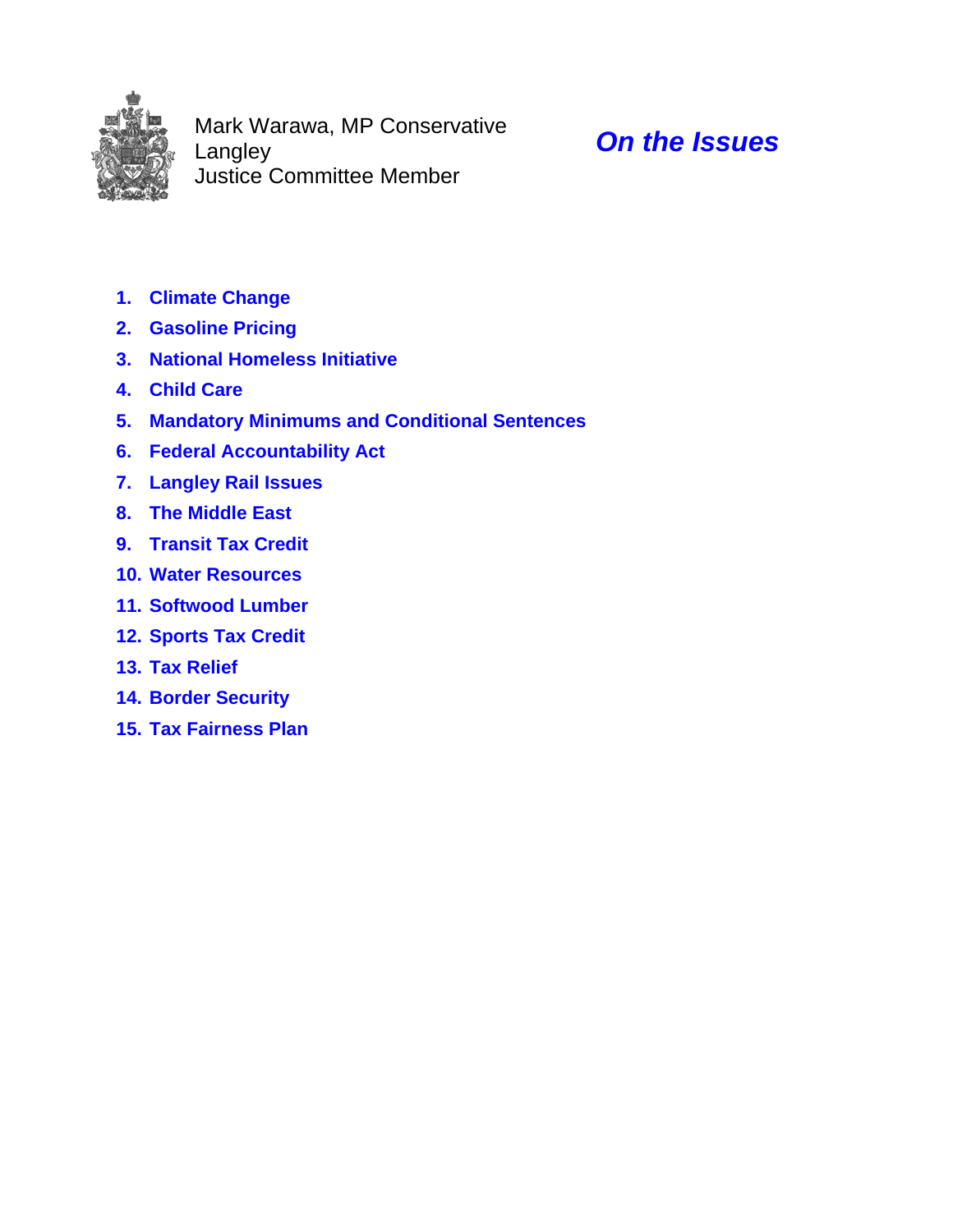

Mark Warawa, MP Conservative Langley Justice Committee Member

# *On the Issues*

- **1. Climate Change**
- **2. Gasoline Pricing**
- **3. National Homeless Initiative**
- **4. Child Care**
- **5. Mandatory Minimums and Conditional Sentences**
- **6. Federal Accountability Act**
- **7. Langley Rail Issues**
- **8. The Middle East**
- **9. Transit Tax Credit**
- **10. Water Resources**
- **11. Softwood Lumber**
- **12. Sports Tax Credit**
- **13. Tax Relief**
- **14. Border Security**
- **15. Tax Fairness Plan**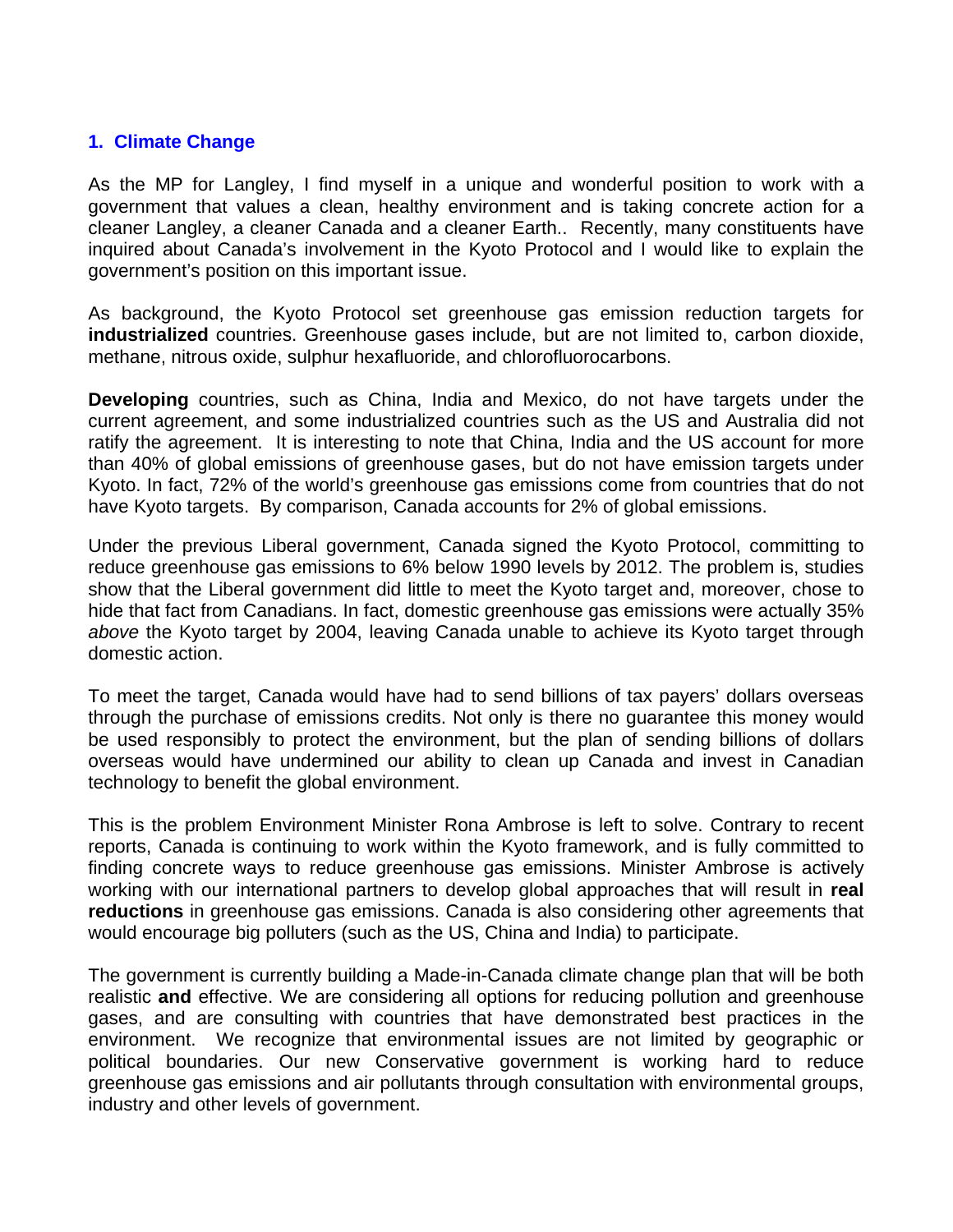#### **1. Climate Change**

As the MP for Langley, I find myself in a unique and wonderful position to work with a government that values a clean, healthy environment and is taking concrete action for a cleaner Langley, a cleaner Canada and a cleaner Earth.. Recently, many constituents have inquired about Canada's involvement in the Kyoto Protocol and I would like to explain the government's position on this important issue.

As background, the Kyoto Protocol set greenhouse gas emission reduction targets for **industrialized** countries. Greenhouse gases include, but are not limited to, carbon dioxide, methane, nitrous oxide, sulphur hexafluoride, and chlorofluorocarbons.

**Developing** countries, such as China, India and Mexico, do not have targets under the current agreement, and some industrialized countries such as the US and Australia did not ratify the agreement. It is interesting to note that China, India and the US account for more than 40% of global emissions of greenhouse gases, but do not have emission targets under Kyoto. In fact, 72% of the world's greenhouse gas emissions come from countries that do not have Kyoto targets. By comparison, Canada accounts for 2% of global emissions.

Under the previous Liberal government, Canada signed the Kyoto Protocol, committing to reduce greenhouse gas emissions to 6% below 1990 levels by 2012. The problem is, studies show that the Liberal government did little to meet the Kyoto target and, moreover, chose to hide that fact from Canadians. In fact, domestic greenhouse gas emissions were actually 35% *above* the Kyoto target by 2004, leaving Canada unable to achieve its Kyoto target through domestic action.

To meet the target, Canada would have had to send billions of tax payers' dollars overseas through the purchase of emissions credits. Not only is there no guarantee this money would be used responsibly to protect the environment, but the plan of sending billions of dollars overseas would have undermined our ability to clean up Canada and invest in Canadian technology to benefit the global environment.

This is the problem Environment Minister Rona Ambrose is left to solve. Contrary to recent reports, Canada is continuing to work within the Kyoto framework, and is fully committed to finding concrete ways to reduce greenhouse gas emissions. Minister Ambrose is actively working with our international partners to develop global approaches that will result in **real reductions** in greenhouse gas emissions. Canada is also considering other agreements that would encourage big polluters (such as the US, China and India) to participate.

The government is currently building a Made-in-Canada climate change plan that will be both realistic **and** effective. We are considering all options for reducing pollution and greenhouse gases, and are consulting with countries that have demonstrated best practices in the environment. We recognize that environmental issues are not limited by geographic or political boundaries. Our new Conservative government is working hard to reduce greenhouse gas emissions and air pollutants through consultation with environmental groups, industry and other levels of government.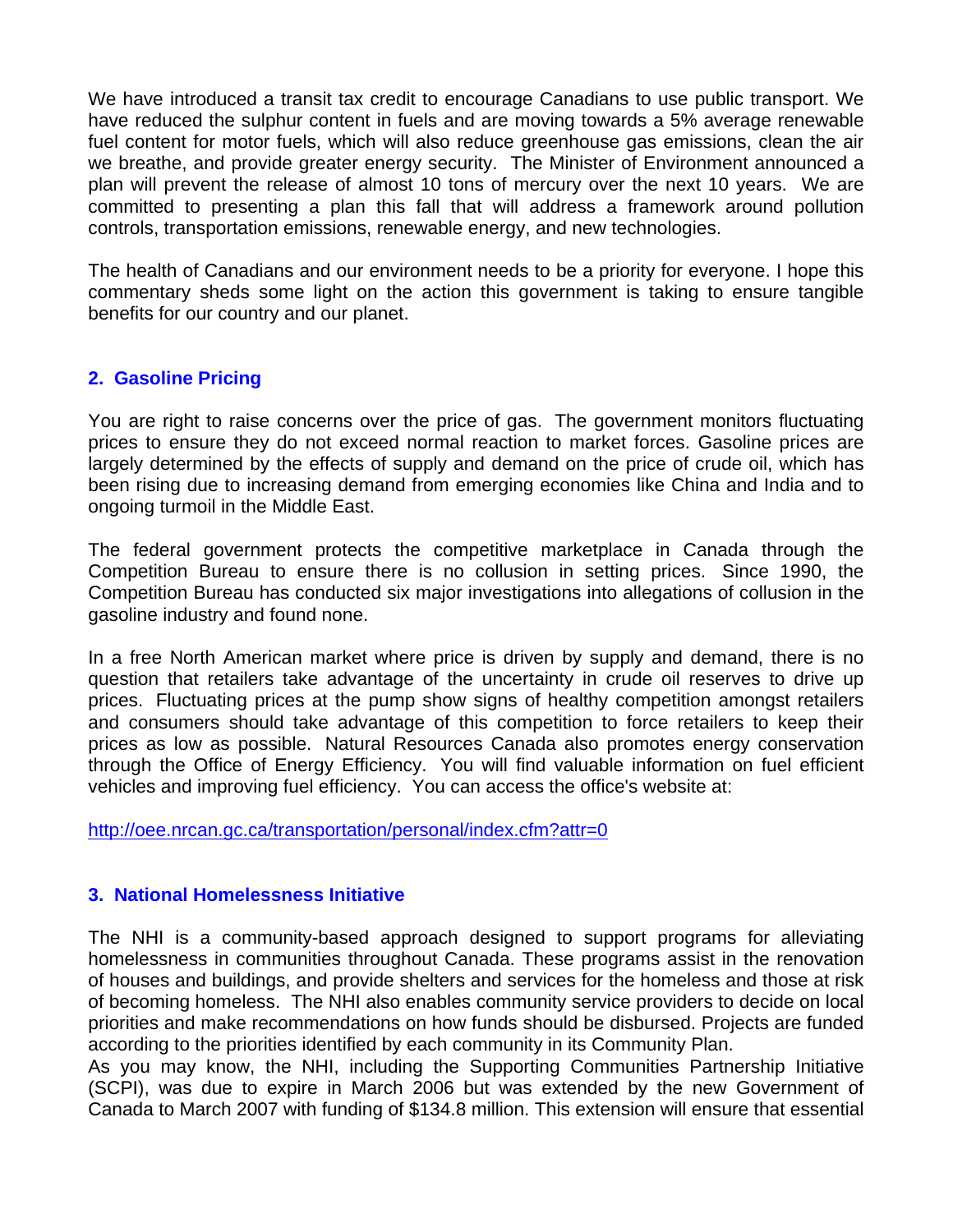We have introduced a transit tax credit to encourage Canadians to use public transport. We have reduced the sulphur content in fuels and are moving towards a 5% average renewable fuel content for motor fuels, which will also reduce greenhouse gas emissions, clean the air we breathe, and provide greater energy security. The Minister of Environment announced a plan will prevent the release of almost 10 tons of mercury over the next 10 years. We are committed to presenting a plan this fall that will address a framework around pollution controls, transportation emissions, renewable energy, and new technologies.

The health of Canadians and our environment needs to be a priority for everyone. I hope this commentary sheds some light on the action this government is taking to ensure tangible benefits for our country and our planet.

# **2. Gasoline Pricing**

You are right to raise concerns over the price of gas. The government monitors fluctuating prices to ensure they do not exceed normal reaction to market forces. Gasoline prices are largely determined by the effects of supply and demand on the price of crude oil, which has been rising due to increasing demand from emerging economies like China and India and to ongoing turmoil in the Middle East.

The federal government protects the competitive marketplace in Canada through the Competition Bureau to ensure there is no collusion in setting prices. Since 1990, the Competition Bureau has conducted six major investigations into allegations of collusion in the gasoline industry and found none.

In a free North American market where price is driven by supply and demand, there is no question that retailers take advantage of the uncertainty in crude oil reserves to drive up prices. Fluctuating prices at the pump show signs of healthy competition amongst retailers and consumers should take advantage of this competition to force retailers to keep their prices as low as possible. Natural Resources Canada also promotes energy conservation through the Office of Energy Efficiency. You will find valuable information on fuel efficient vehicles and improving fuel efficiency. You can access the office's website at:

http://oee.nrcan.gc.ca/transportation/personal/index.cfm?attr=0

### **3. National Homelessness Initiative**

The NHI is a community-based approach designed to support programs for alleviating homelessness in communities throughout Canada. These programs assist in the renovation of houses and buildings, and provide shelters and services for the homeless and those at risk of becoming homeless. The NHI also enables community service providers to decide on local priorities and make recommendations on how funds should be disbursed. Projects are funded according to the priorities identified by each community in its Community Plan.

As you may know, the NHI, including the Supporting Communities Partnership Initiative (SCPI), was due to expire in March 2006 but was extended by the new Government of Canada to March 2007 with funding of \$134.8 million. This extension will ensure that essential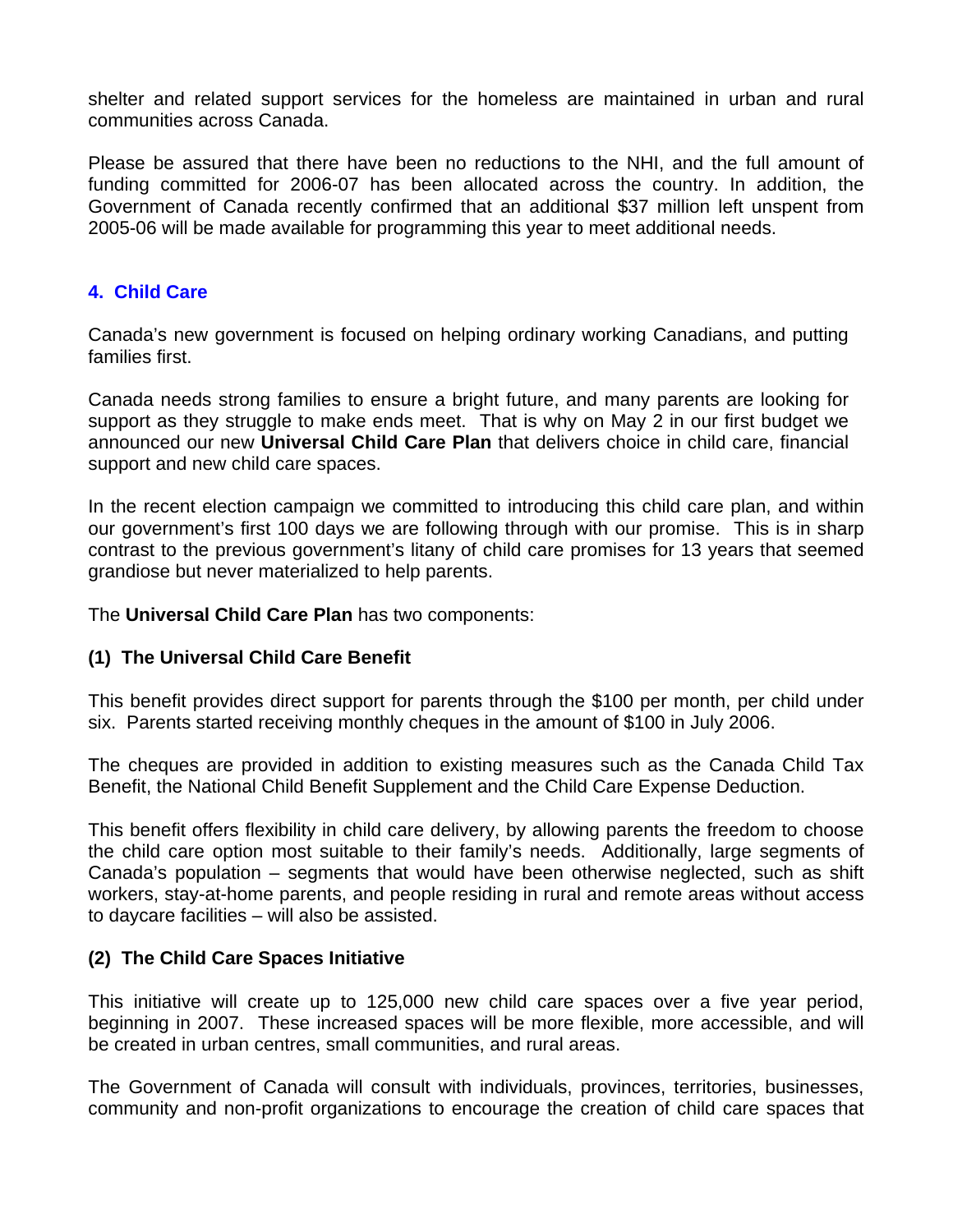shelter and related support services for the homeless are maintained in urban and rural communities across Canada.

Please be assured that there have been no reductions to the NHI, and the full amount of funding committed for 2006-07 has been allocated across the country. In addition, the Government of Canada recently confirmed that an additional \$37 million left unspent from 2005-06 will be made available for programming this year to meet additional needs.

## **4. Child Care**

Canada's new government is focused on helping ordinary working Canadians, and putting families first.

Canada needs strong families to ensure a bright future, and many parents are looking for support as they struggle to make ends meet. That is why on May 2 in our first budget we announced our new **Universal Child Care Plan** that delivers choice in child care, financial support and new child care spaces.

In the recent election campaign we committed to introducing this child care plan, and within our government's first 100 days we are following through with our promise. This is in sharp contrast to the previous government's litany of child care promises for 13 years that seemed grandiose but never materialized to help parents.

The **Universal Child Care Plan** has two components:

### **(1) The Universal Child Care Benefit**

This benefit provides direct support for parents through the \$100 per month, per child under six. Parents started receiving monthly cheques in the amount of \$100 in July 2006.

The cheques are provided in addition to existing measures such as the Canada Child Tax Benefit, the National Child Benefit Supplement and the Child Care Expense Deduction.

This benefit offers flexibility in child care delivery, by allowing parents the freedom to choose the child care option most suitable to their family's needs. Additionally, large segments of Canada's population – segments that would have been otherwise neglected, such as shift workers, stay-at-home parents, and people residing in rural and remote areas without access to daycare facilities – will also be assisted.

### **(2) The Child Care Spaces Initiative**

This initiative will create up to 125,000 new child care spaces over a five year period, beginning in 2007. These increased spaces will be more flexible, more accessible, and will be created in urban centres, small communities, and rural areas.

The Government of Canada will consult with individuals, provinces, territories, businesses, community and non-profit organizations to encourage the creation of child care spaces that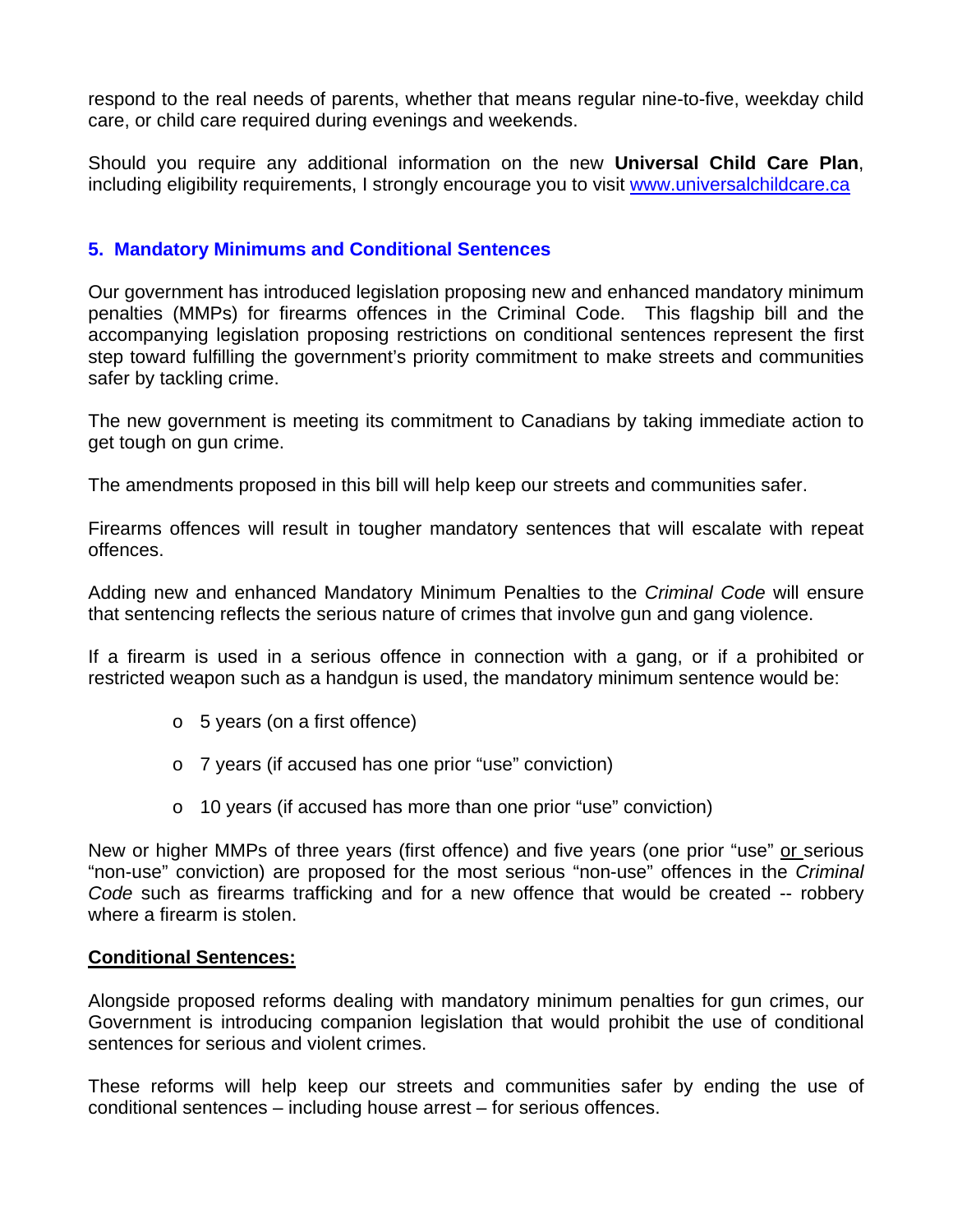respond to the real needs of parents, whether that means regular nine-to-five, weekday child care, or child care required during evenings and weekends.

Should you require any additional information on the new **Universal Child Care Plan**, including eligibility requirements, I strongly encourage you to visit www.universalchildcare.ca

# **5. Mandatory Minimums and Conditional Sentences**

Our government has introduced legislation proposing new and enhanced mandatory minimum penalties (MMPs) for firearms offences in the Criminal Code. This flagship bill and the accompanying legislation proposing restrictions on conditional sentences represent the first step toward fulfilling the government's priority commitment to make streets and communities safer by tackling crime.

The new government is meeting its commitment to Canadians by taking immediate action to get tough on gun crime.

The amendments proposed in this bill will help keep our streets and communities safer.

Firearms offences will result in tougher mandatory sentences that will escalate with repeat offences.

Adding new and enhanced Mandatory Minimum Penalties to the *Criminal Code* will ensure that sentencing reflects the serious nature of crimes that involve gun and gang violence.

If a firearm is used in a serious offence in connection with a gang, or if a prohibited or restricted weapon such as a handgun is used, the mandatory minimum sentence would be:

- o 5 years (on a first offence)
- o 7 years (if accused has one prior "use" conviction)
- o 10 years (if accused has more than one prior "use" conviction)

New or higher MMPs of three years (first offence) and five years (one prior "use" or serious "non-use" conviction) are proposed for the most serious "non-use" offences in the *Criminal Code* such as firearms trafficking and for a new offence that would be created -- robbery where a firearm is stolen.

### **Conditional Sentences:**

Alongside proposed reforms dealing with mandatory minimum penalties for gun crimes, our Government is introducing companion legislation that would prohibit the use of conditional sentences for serious and violent crimes.

These reforms will help keep our streets and communities safer by ending the use of conditional sentences – including house arrest – for serious offences.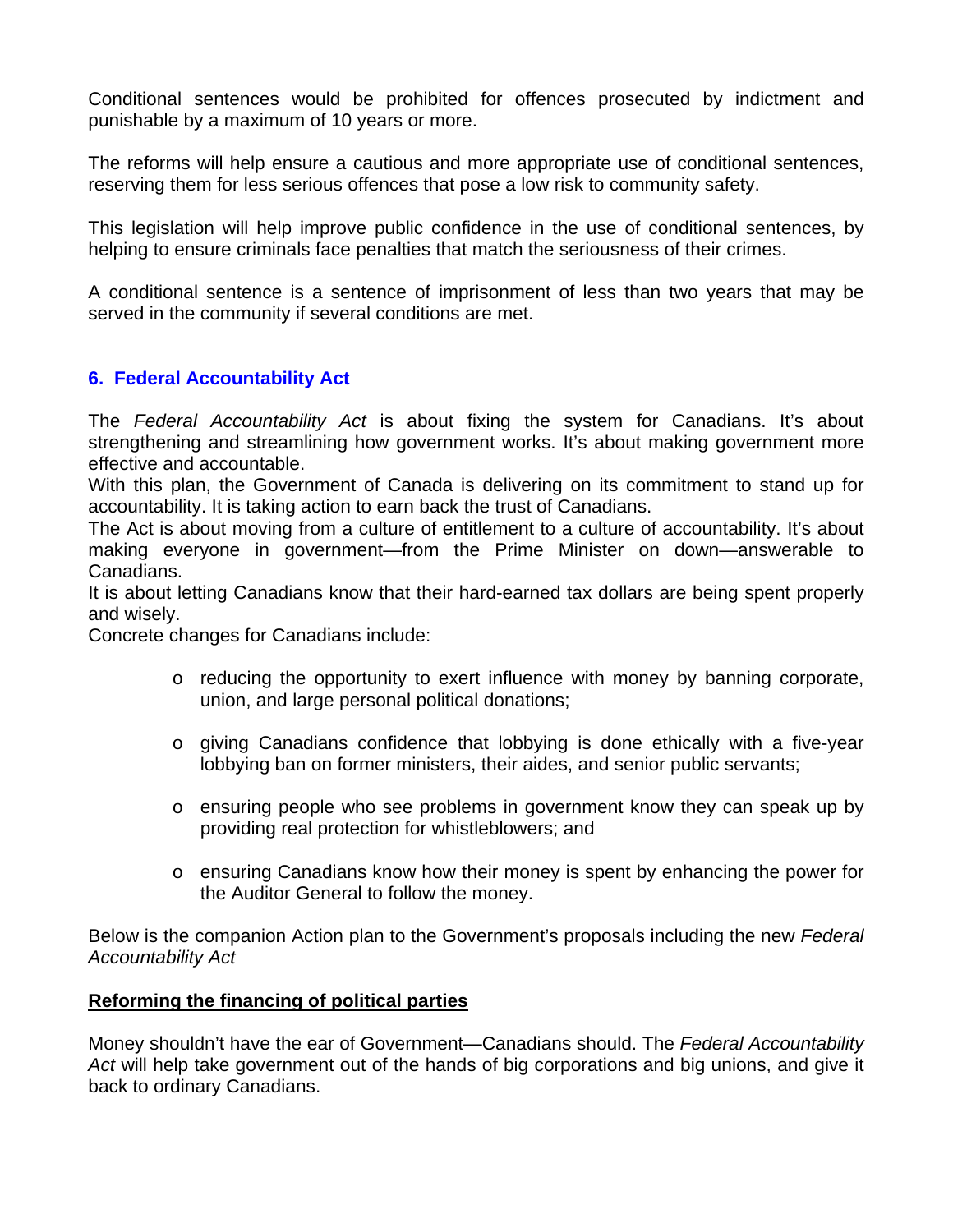Conditional sentences would be prohibited for offences prosecuted by indictment and punishable by a maximum of 10 years or more.

The reforms will help ensure a cautious and more appropriate use of conditional sentences, reserving them for less serious offences that pose a low risk to community safety.

This legislation will help improve public confidence in the use of conditional sentences, by helping to ensure criminals face penalties that match the seriousness of their crimes.

A conditional sentence is a sentence of imprisonment of less than two years that may be served in the community if several conditions are met.

# **6. Federal Accountability Act**

The *Federal Accountability Act* is about fixing the system for Canadians. It's about strengthening and streamlining how government works. It's about making government more effective and accountable.

With this plan, the Government of Canada is delivering on its commitment to stand up for accountability. It is taking action to earn back the trust of Canadians.

The Act is about moving from a culture of entitlement to a culture of accountability. It's about making everyone in government—from the Prime Minister on down—answerable to Canadians.

It is about letting Canadians know that their hard-earned tax dollars are being spent properly and wisely.

Concrete changes for Canadians include:

- $\circ$  reducing the opportunity to exert influence with money by banning corporate, union, and large personal political donations;
- o giving Canadians confidence that lobbying is done ethically with a five-year lobbying ban on former ministers, their aides, and senior public servants;
- o ensuring people who see problems in government know they can speak up by providing real protection for whistleblowers; and
- o ensuring Canadians know how their money is spent by enhancing the power for the Auditor General to follow the money.

Below is the companion Action plan to the Government's proposals including the new *Federal Accountability Act*

### **Reforming the financing of political parties**

Money shouldn't have the ear of Government—Canadians should. The *Federal Accountability Act* will help take government out of the hands of big corporations and big unions, and give it back to ordinary Canadians.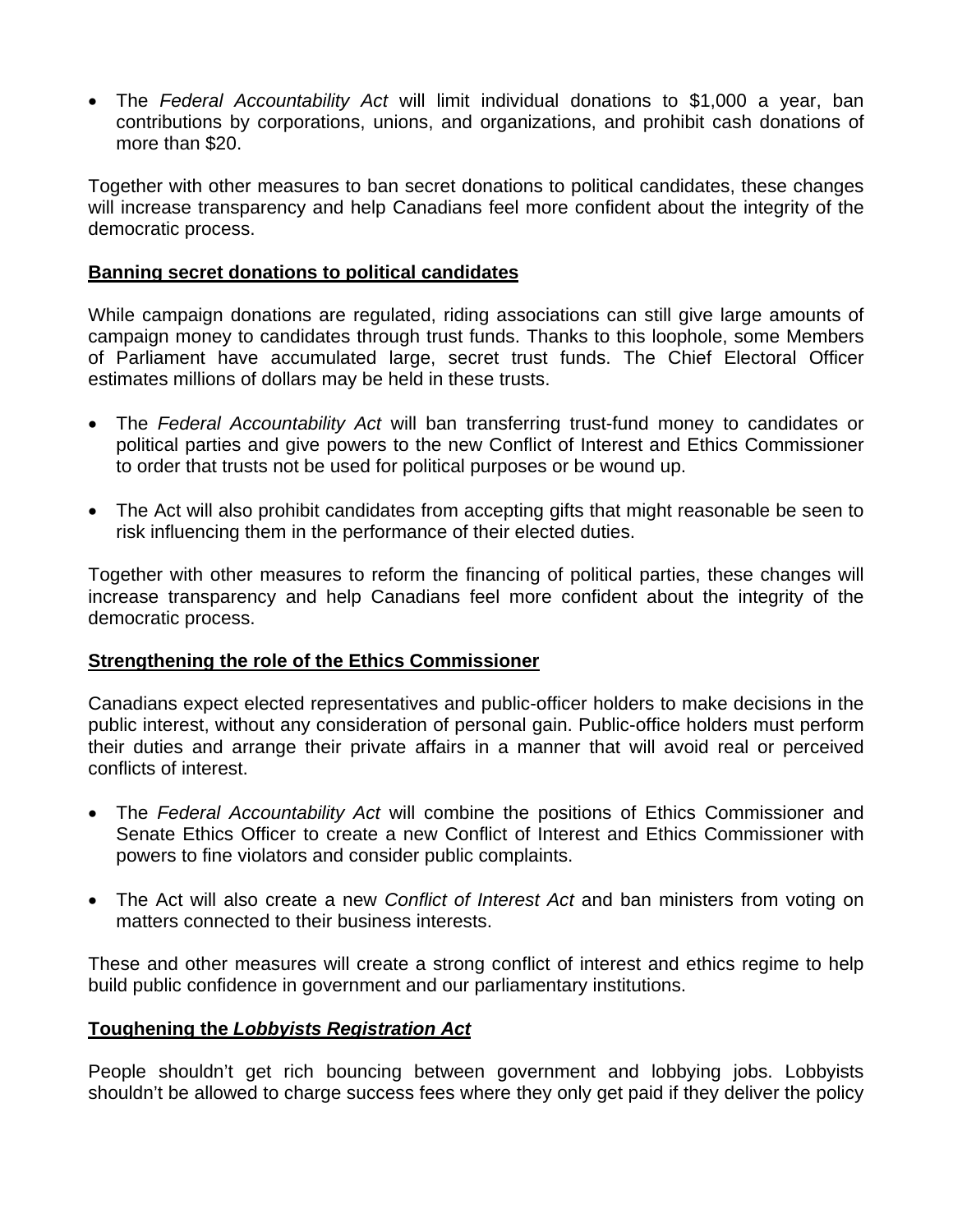• The *Federal Accountability Act* will limit individual donations to \$1,000 a year, ban contributions by corporations, unions, and organizations, and prohibit cash donations of more than \$20.

Together with other measures to ban secret donations to political candidates, these changes will increase transparency and help Canadians feel more confident about the integrity of the democratic process.

#### **Banning secret donations to political candidates**

While campaign donations are regulated, riding associations can still give large amounts of campaign money to candidates through trust funds. Thanks to this loophole, some Members of Parliament have accumulated large, secret trust funds. The Chief Electoral Officer estimates millions of dollars may be held in these trusts.

- The *Federal Accountability Act* will ban transferring trust-fund money to candidates or political parties and give powers to the new Conflict of Interest and Ethics Commissioner to order that trusts not be used for political purposes or be wound up.
- The Act will also prohibit candidates from accepting gifts that might reasonable be seen to risk influencing them in the performance of their elected duties.

Together with other measures to reform the financing of political parties, these changes will increase transparency and help Canadians feel more confident about the integrity of the democratic process.

### **Strengthening the role of the Ethics Commissioner**

Canadians expect elected representatives and public-officer holders to make decisions in the public interest, without any consideration of personal gain. Public-office holders must perform their duties and arrange their private affairs in a manner that will avoid real or perceived conflicts of interest.

- The *Federal Accountability Act* will combine the positions of Ethics Commissioner and Senate Ethics Officer to create a new Conflict of Interest and Ethics Commissioner with powers to fine violators and consider public complaints.
- The Act will also create a new *Conflict of Interest Act* and ban ministers from voting on matters connected to their business interests.

These and other measures will create a strong conflict of interest and ethics regime to help build public confidence in government and our parliamentary institutions.

#### **Toughening the** *Lobbyists Registration Act*

People shouldn't get rich bouncing between government and lobbying jobs. Lobbyists shouldn't be allowed to charge success fees where they only get paid if they deliver the policy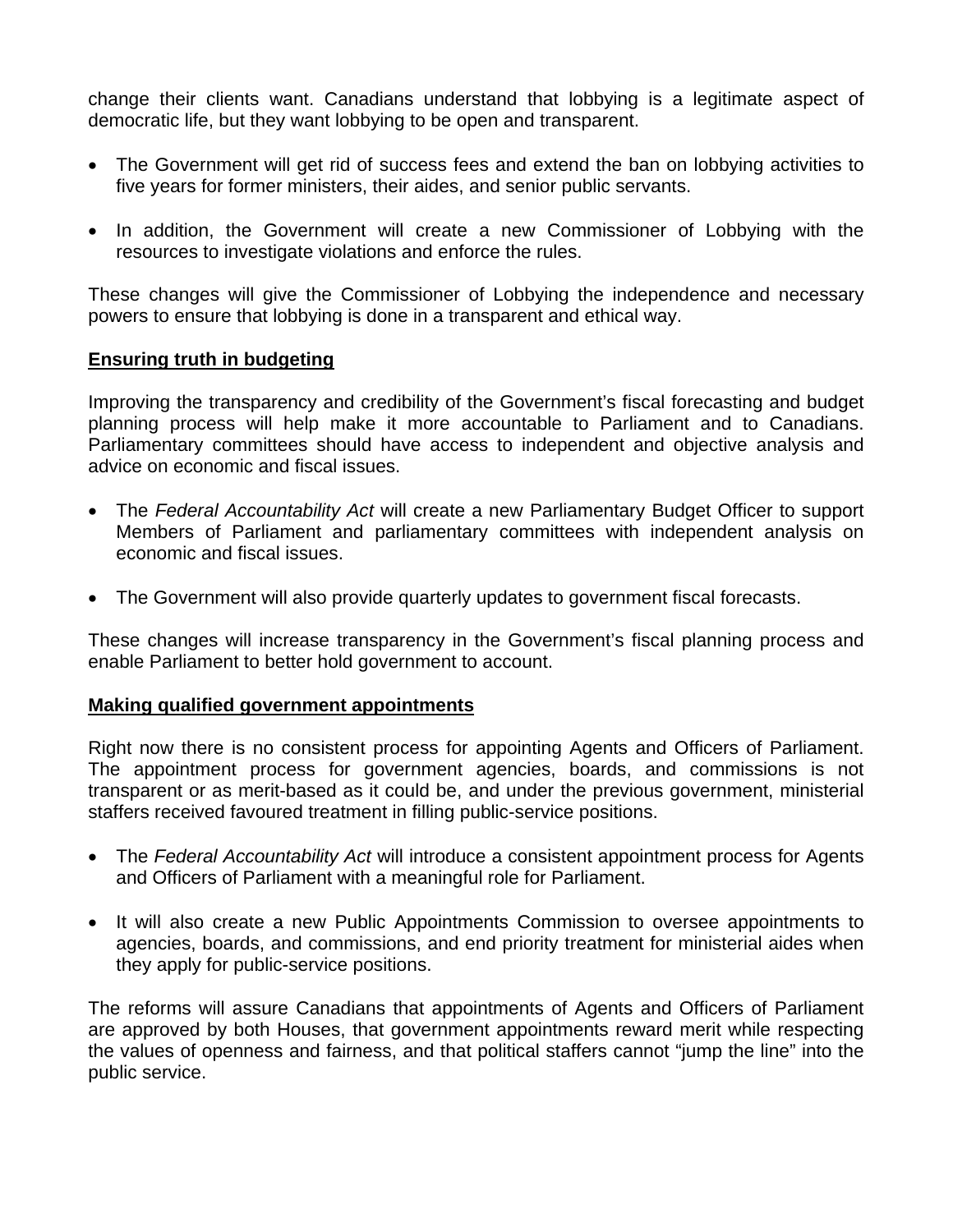change their clients want. Canadians understand that lobbying is a legitimate aspect of democratic life, but they want lobbying to be open and transparent.

- The Government will get rid of success fees and extend the ban on lobbying activities to five years for former ministers, their aides, and senior public servants.
- In addition, the Government will create a new Commissioner of Lobbying with the resources to investigate violations and enforce the rules.

These changes will give the Commissioner of Lobbying the independence and necessary powers to ensure that lobbying is done in a transparent and ethical way.

### **Ensuring truth in budgeting**

Improving the transparency and credibility of the Government's fiscal forecasting and budget planning process will help make it more accountable to Parliament and to Canadians. Parliamentary committees should have access to independent and objective analysis and advice on economic and fiscal issues.

- The *Federal Accountability Act* will create a new Parliamentary Budget Officer to support Members of Parliament and parliamentary committees with independent analysis on economic and fiscal issues.
- The Government will also provide quarterly updates to government fiscal forecasts.

These changes will increase transparency in the Government's fiscal planning process and enable Parliament to better hold government to account.

#### **Making qualified government appointments**

Right now there is no consistent process for appointing Agents and Officers of Parliament. The appointment process for government agencies, boards, and commissions is not transparent or as merit-based as it could be, and under the previous government, ministerial staffers received favoured treatment in filling public-service positions.

- The *Federal Accountability Act* will introduce a consistent appointment process for Agents and Officers of Parliament with a meaningful role for Parliament.
- It will also create a new Public Appointments Commission to oversee appointments to agencies, boards, and commissions, and end priority treatment for ministerial aides when they apply for public-service positions.

The reforms will assure Canadians that appointments of Agents and Officers of Parliament are approved by both Houses, that government appointments reward merit while respecting the values of openness and fairness, and that political staffers cannot "jump the line" into the public service.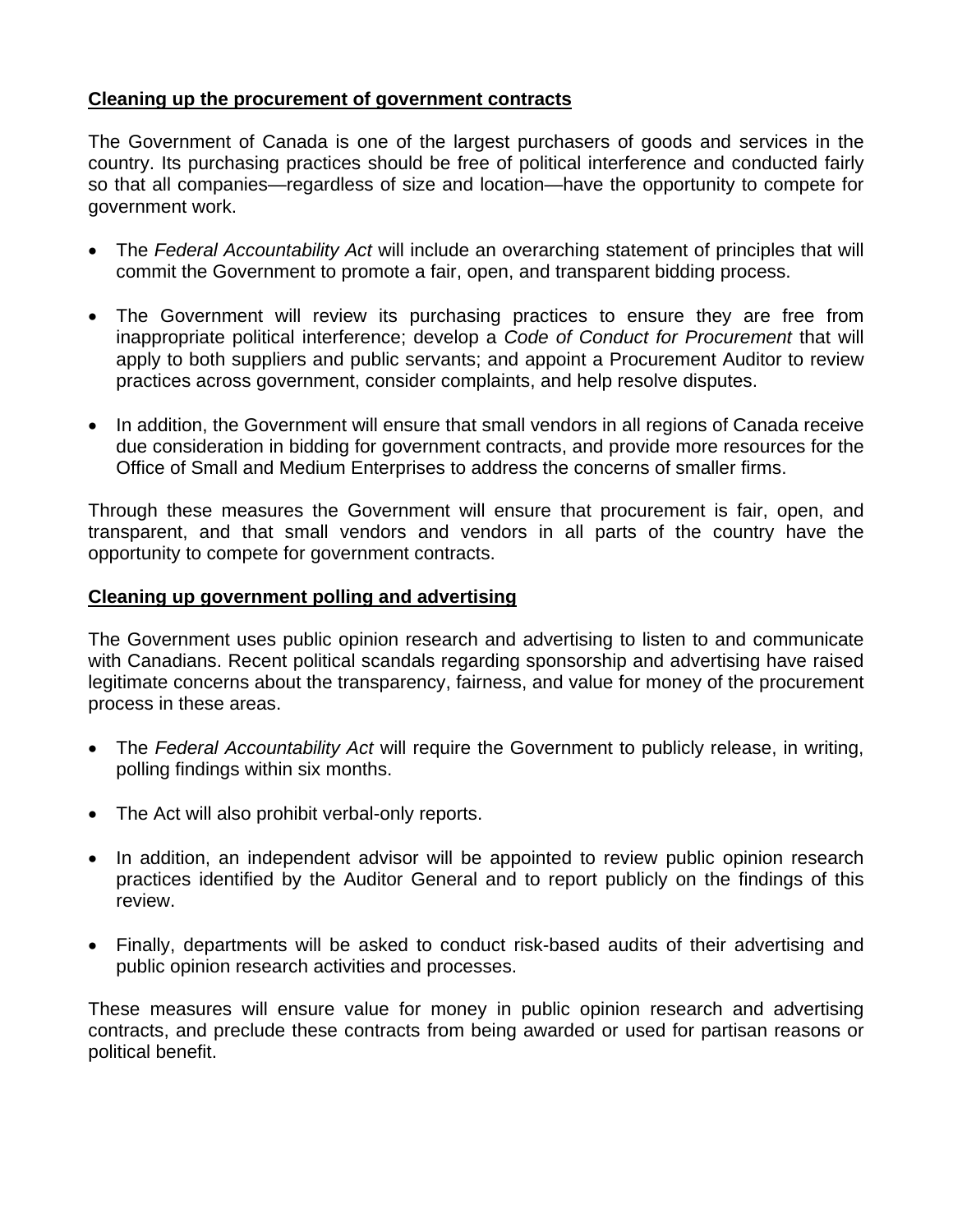## **Cleaning up the procurement of government contracts**

The Government of Canada is one of the largest purchasers of goods and services in the country. Its purchasing practices should be free of political interference and conducted fairly so that all companies—regardless of size and location—have the opportunity to compete for government work.

- The *Federal Accountability Act* will include an overarching statement of principles that will commit the Government to promote a fair, open, and transparent bidding process.
- The Government will review its purchasing practices to ensure they are free from inappropriate political interference; develop a *Code of Conduct for Procurement* that will apply to both suppliers and public servants; and appoint a Procurement Auditor to review practices across government, consider complaints, and help resolve disputes.
- In addition, the Government will ensure that small vendors in all regions of Canada receive due consideration in bidding for government contracts, and provide more resources for the Office of Small and Medium Enterprises to address the concerns of smaller firms.

Through these measures the Government will ensure that procurement is fair, open, and transparent, and that small vendors and vendors in all parts of the country have the opportunity to compete for government contracts.

### **Cleaning up government polling and advertising**

The Government uses public opinion research and advertising to listen to and communicate with Canadians. Recent political scandals regarding sponsorship and advertising have raised legitimate concerns about the transparency, fairness, and value for money of the procurement process in these areas.

- The *Federal Accountability Act* will require the Government to publicly release, in writing, polling findings within six months.
- The Act will also prohibit verbal-only reports.
- In addition, an independent advisor will be appointed to review public opinion research practices identified by the Auditor General and to report publicly on the findings of this review.
- Finally, departments will be asked to conduct risk-based audits of their advertising and public opinion research activities and processes.

These measures will ensure value for money in public opinion research and advertising contracts, and preclude these contracts from being awarded or used for partisan reasons or political benefit.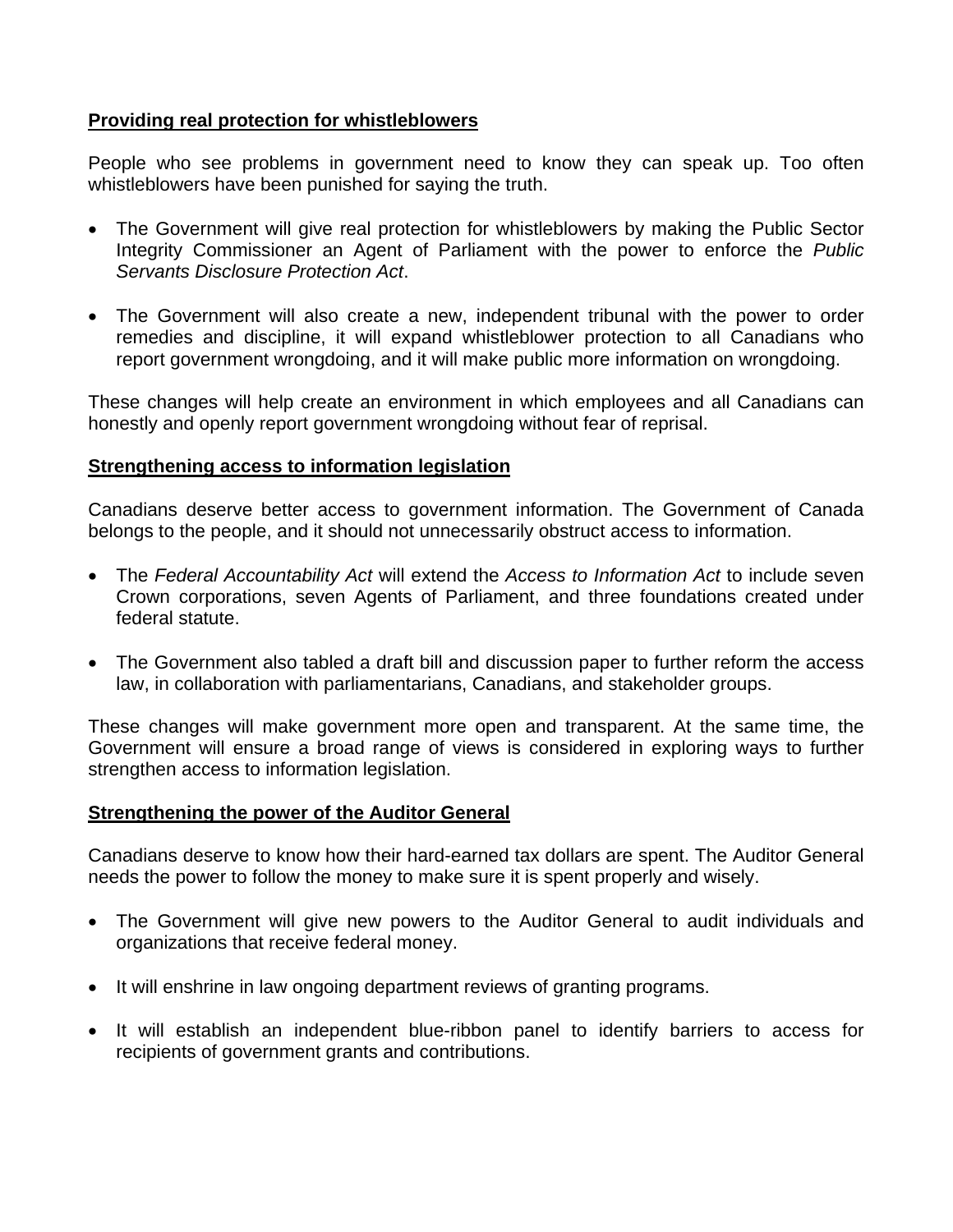### **Providing real protection for whistleblowers**

People who see problems in government need to know they can speak up. Too often whistleblowers have been punished for saying the truth.

- The Government will give real protection for whistleblowers by making the Public Sector Integrity Commissioner an Agent of Parliament with the power to enforce the *Public Servants Disclosure Protection Act*.
- The Government will also create a new, independent tribunal with the power to order remedies and discipline, it will expand whistleblower protection to all Canadians who report government wrongdoing, and it will make public more information on wrongdoing.

These changes will help create an environment in which employees and all Canadians can honestly and openly report government wrongdoing without fear of reprisal.

### **Strengthening access to information legislation**

Canadians deserve better access to government information. The Government of Canada belongs to the people, and it should not unnecessarily obstruct access to information.

- The *Federal Accountability Act* will extend the *Access to Information Act* to include seven Crown corporations, seven Agents of Parliament, and three foundations created under federal statute.
- The Government also tabled a draft bill and discussion paper to further reform the access law, in collaboration with parliamentarians, Canadians, and stakeholder groups.

These changes will make government more open and transparent. At the same time, the Government will ensure a broad range of views is considered in exploring ways to further strengthen access to information legislation.

### **Strengthening the power of the Auditor General**

Canadians deserve to know how their hard-earned tax dollars are spent. The Auditor General needs the power to follow the money to make sure it is spent properly and wisely.

- The Government will give new powers to the Auditor General to audit individuals and organizations that receive federal money.
- It will enshrine in law ongoing department reviews of granting programs.
- It will establish an independent blue-ribbon panel to identify barriers to access for recipients of government grants and contributions.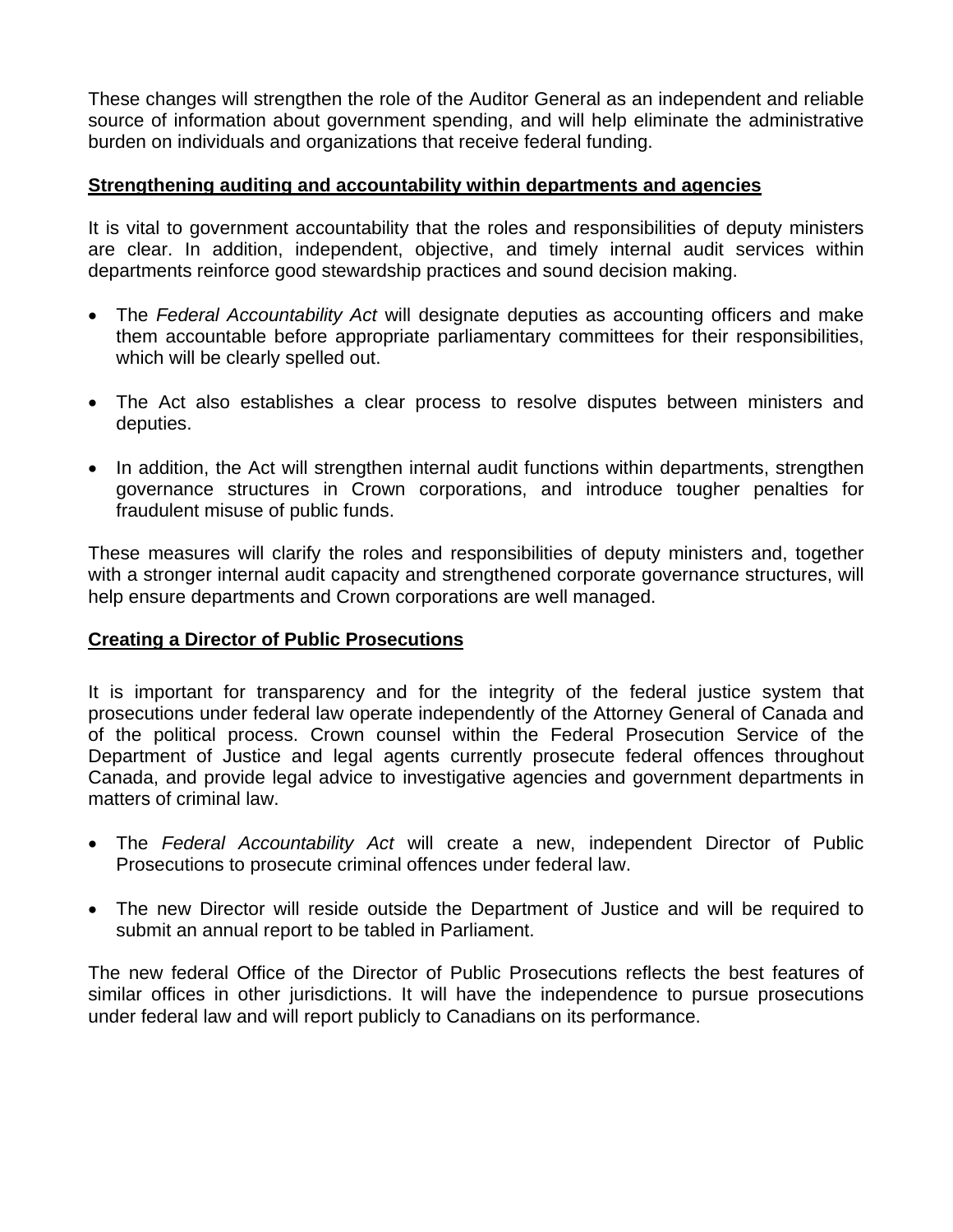These changes will strengthen the role of the Auditor General as an independent and reliable source of information about government spending, and will help eliminate the administrative burden on individuals and organizations that receive federal funding.

## **Strengthening auditing and accountability within departments and agencies**

It is vital to government accountability that the roles and responsibilities of deputy ministers are clear. In addition, independent, objective, and timely internal audit services within departments reinforce good stewardship practices and sound decision making.

- The *Federal Accountability Act* will designate deputies as accounting officers and make them accountable before appropriate parliamentary committees for their responsibilities, which will be clearly spelled out.
- The Act also establishes a clear process to resolve disputes between ministers and deputies.
- In addition, the Act will strengthen internal audit functions within departments, strengthen governance structures in Crown corporations, and introduce tougher penalties for fraudulent misuse of public funds.

These measures will clarify the roles and responsibilities of deputy ministers and, together with a stronger internal audit capacity and strengthened corporate governance structures, will help ensure departments and Crown corporations are well managed.

### **Creating a Director of Public Prosecutions**

It is important for transparency and for the integrity of the federal justice system that prosecutions under federal law operate independently of the Attorney General of Canada and of the political process. Crown counsel within the Federal Prosecution Service of the Department of Justice and legal agents currently prosecute federal offences throughout Canada, and provide legal advice to investigative agencies and government departments in matters of criminal law.

- The *Federal Accountability Act* will create a new, independent Director of Public Prosecutions to prosecute criminal offences under federal law.
- The new Director will reside outside the Department of Justice and will be required to submit an annual report to be tabled in Parliament.

The new federal Office of the Director of Public Prosecutions reflects the best features of similar offices in other jurisdictions. It will have the independence to pursue prosecutions under federal law and will report publicly to Canadians on its performance.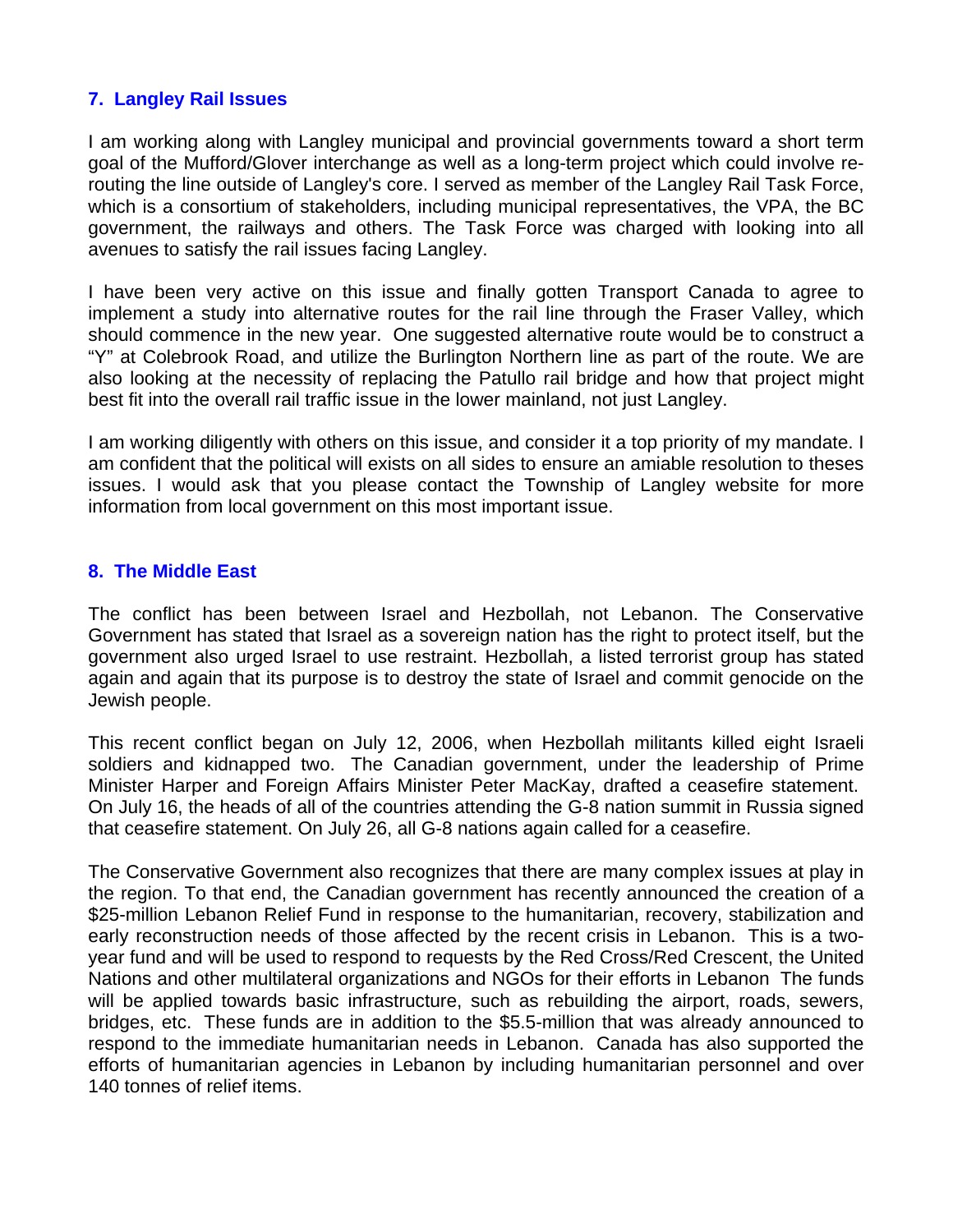#### **7. Langley Rail Issues**

I am working along with Langley municipal and provincial governments toward a short term goal of the Mufford/Glover interchange as well as a long-term project which could involve rerouting the line outside of Langley's core. I served as member of the Langley Rail Task Force, which is a consortium of stakeholders, including municipal representatives, the VPA, the BC government, the railways and others. The Task Force was charged with looking into all avenues to satisfy the rail issues facing Langley.

I have been very active on this issue and finally gotten Transport Canada to agree to implement a study into alternative routes for the rail line through the Fraser Valley, which should commence in the new year. One suggested alternative route would be to construct a "Y" at Colebrook Road, and utilize the Burlington Northern line as part of the route. We are also looking at the necessity of replacing the Patullo rail bridge and how that project might best fit into the overall rail traffic issue in the lower mainland, not just Langley.

I am working diligently with others on this issue, and consider it a top priority of my mandate. I am confident that the political will exists on all sides to ensure an amiable resolution to theses issues. I would ask that you please contact the Township of Langley website for more information from local government on this most important issue.

#### **8. The Middle East**

The conflict has been between Israel and Hezbollah, not Lebanon. The Conservative Government has stated that Israel as a sovereign nation has the right to protect itself, but the government also urged Israel to use restraint. Hezbollah, a listed terrorist group has stated again and again that its purpose is to destroy the state of Israel and commit genocide on the Jewish people.

This recent conflict began on July 12, 2006, when Hezbollah militants killed eight Israeli soldiers and kidnapped two. The Canadian government, under the leadership of Prime Minister Harper and Foreign Affairs Minister Peter MacKay, drafted a ceasefire statement. On July 16, the heads of all of the countries attending the G-8 nation summit in Russia signed that ceasefire statement. On July 26, all G-8 nations again called for a ceasefire.

The Conservative Government also recognizes that there are many complex issues at play in the region. To that end, the Canadian government has recently announced the creation of a \$25-million Lebanon Relief Fund in response to the humanitarian, recovery, stabilization and early reconstruction needs of those affected by the recent crisis in Lebanon. This is a twoyear fund and will be used to respond to requests by the Red Cross/Red Crescent, the United Nations and other multilateral organizations and NGOs for their efforts in Lebanon The funds will be applied towards basic infrastructure, such as rebuilding the airport, roads, sewers, bridges, etc. These funds are in addition to the \$5.5-million that was already announced to respond to the immediate humanitarian needs in Lebanon. Canada has also supported the efforts of humanitarian agencies in Lebanon by including humanitarian personnel and over 140 tonnes of relief items.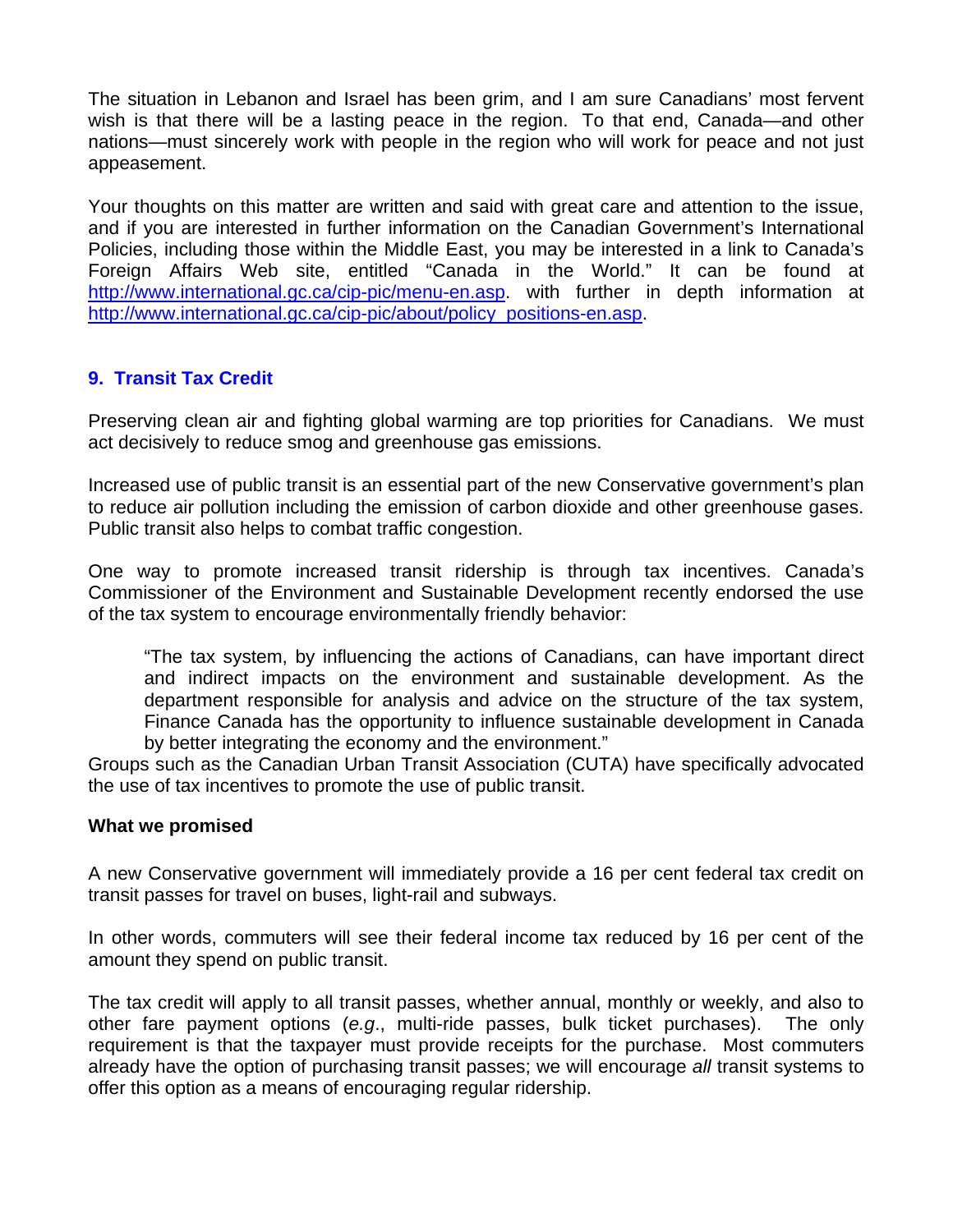The situation in Lebanon and Israel has been grim, and I am sure Canadians' most fervent wish is that there will be a lasting peace in the region. To that end, Canada—and other nations—must sincerely work with people in the region who will work for peace and not just appeasement.

Your thoughts on this matter are written and said with great care and attention to the issue, and if you are interested in further information on the Canadian Government's International Policies, including those within the Middle East, you may be interested in a link to Canada's Foreign Affairs Web site, entitled "Canada in the World." It can be found at http://www.international.gc.ca/cip-pic/menu-en.asp. with further in depth information at http://www.international.gc.ca/cip-pic/about/policy\_positions-en.asp.

## **9. Transit Tax Credit**

Preserving clean air and fighting global warming are top priorities for Canadians. We must act decisively to reduce smog and greenhouse gas emissions.

Increased use of public transit is an essential part of the new Conservative government's plan to reduce air pollution including the emission of carbon dioxide and other greenhouse gases. Public transit also helps to combat traffic congestion.

One way to promote increased transit ridership is through tax incentives. Canada's Commissioner of the Environment and Sustainable Development recently endorsed the use of the tax system to encourage environmentally friendly behavior:

"The tax system, by influencing the actions of Canadians, can have important direct and indirect impacts on the environment and sustainable development. As the department responsible for analysis and advice on the structure of the tax system, Finance Canada has the opportunity to influence sustainable development in Canada by better integrating the economy and the environment."

Groups such as the Canadian Urban Transit Association (CUTA) have specifically advocated the use of tax incentives to promote the use of public transit.

#### **What we promised**

A new Conservative government will immediately provide a 16 per cent federal tax credit on transit passes for travel on buses, light-rail and subways.

In other words, commuters will see their federal income tax reduced by 16 per cent of the amount they spend on public transit.

The tax credit will apply to all transit passes, whether annual, monthly or weekly, and also to other fare payment options (*e.g*., multi-ride passes, bulk ticket purchases). The only requirement is that the taxpayer must provide receipts for the purchase. Most commuters already have the option of purchasing transit passes; we will encourage *all* transit systems to offer this option as a means of encouraging regular ridership.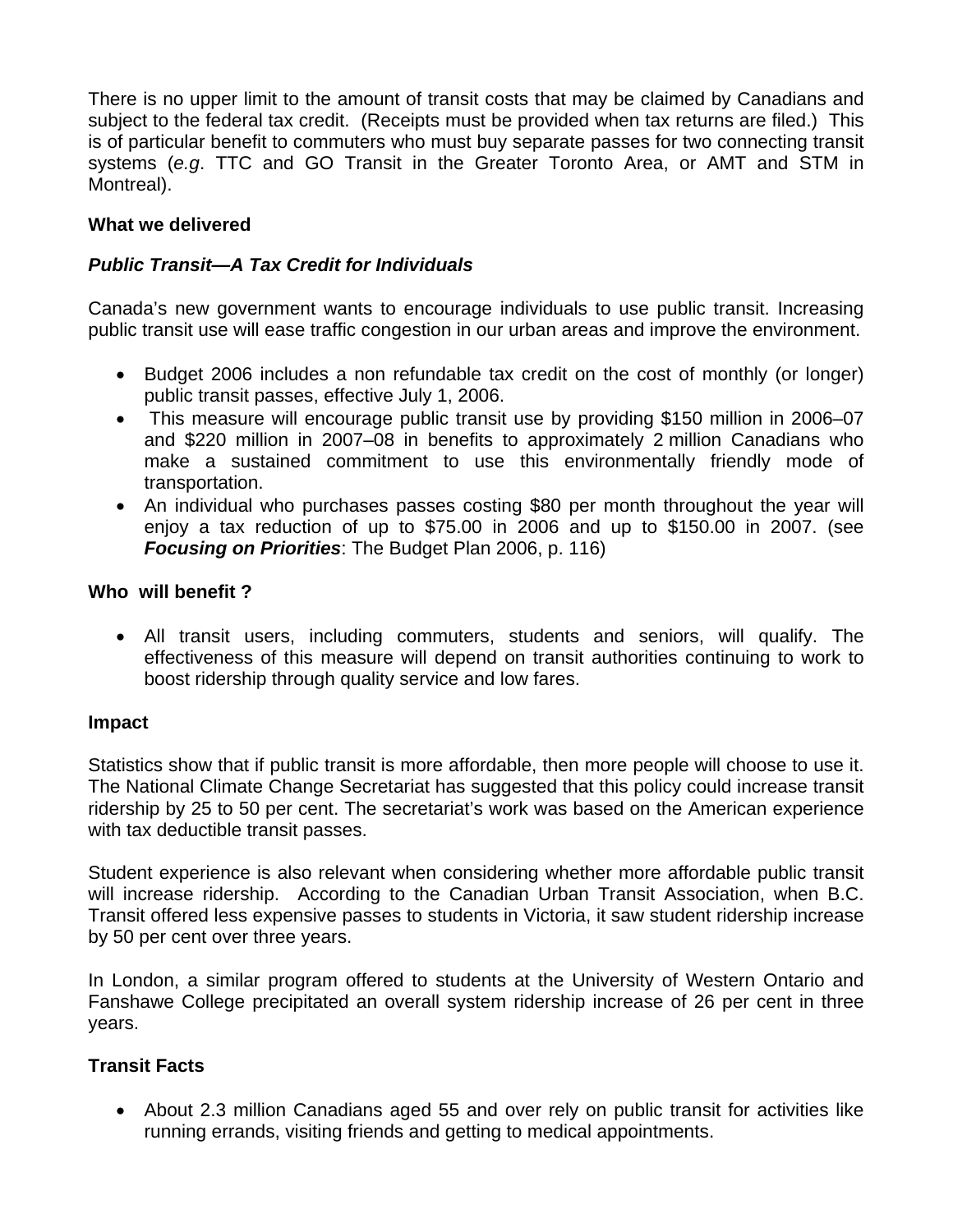There is no upper limit to the amount of transit costs that may be claimed by Canadians and subject to the federal tax credit. (Receipts must be provided when tax returns are filed.) This is of particular benefit to commuters who must buy separate passes for two connecting transit systems (*e.g*. TTC and GO Transit in the Greater Toronto Area, or AMT and STM in Montreal).

# **What we delivered**

# *Public Transit—A Tax Credit for Individuals*

Canada's new government wants to encourage individuals to use public transit. Increasing public transit use will ease traffic congestion in our urban areas and improve the environment.

- Budget 2006 includes a non refundable tax credit on the cost of monthly (or longer) public transit passes, effective July 1, 2006.
- This measure will encourage public transit use by providing \$150 million in 2006–07 and \$220 million in 2007–08 in benefits to approximately 2 million Canadians who make a sustained commitment to use this environmentally friendly mode of transportation.
- An individual who purchases passes costing \$80 per month throughout the year will enjoy a tax reduction of up to \$75.00 in 2006 and up to \$150.00 in 2007. (see *Focusing on Priorities*: The Budget Plan 2006, p. 116)

### **Who will benefit ?**

• All transit users, including commuters, students and seniors, will qualify. The effectiveness of this measure will depend on transit authorities continuing to work to boost ridership through quality service and low fares.

### **Impact**

Statistics show that if public transit is more affordable, then more people will choose to use it. The National Climate Change Secretariat has suggested that this policy could increase transit ridership by 25 to 50 per cent. The secretariat's work was based on the American experience with tax deductible transit passes.

Student experience is also relevant when considering whether more affordable public transit will increase ridership. According to the Canadian Urban Transit Association, when B.C. Transit offered less expensive passes to students in Victoria, it saw student ridership increase by 50 per cent over three years.

In London, a similar program offered to students at the University of Western Ontario and Fanshawe College precipitated an overall system ridership increase of 26 per cent in three years.

### **Transit Facts**

• About 2.3 million Canadians aged 55 and over rely on public transit for activities like running errands, visiting friends and getting to medical appointments.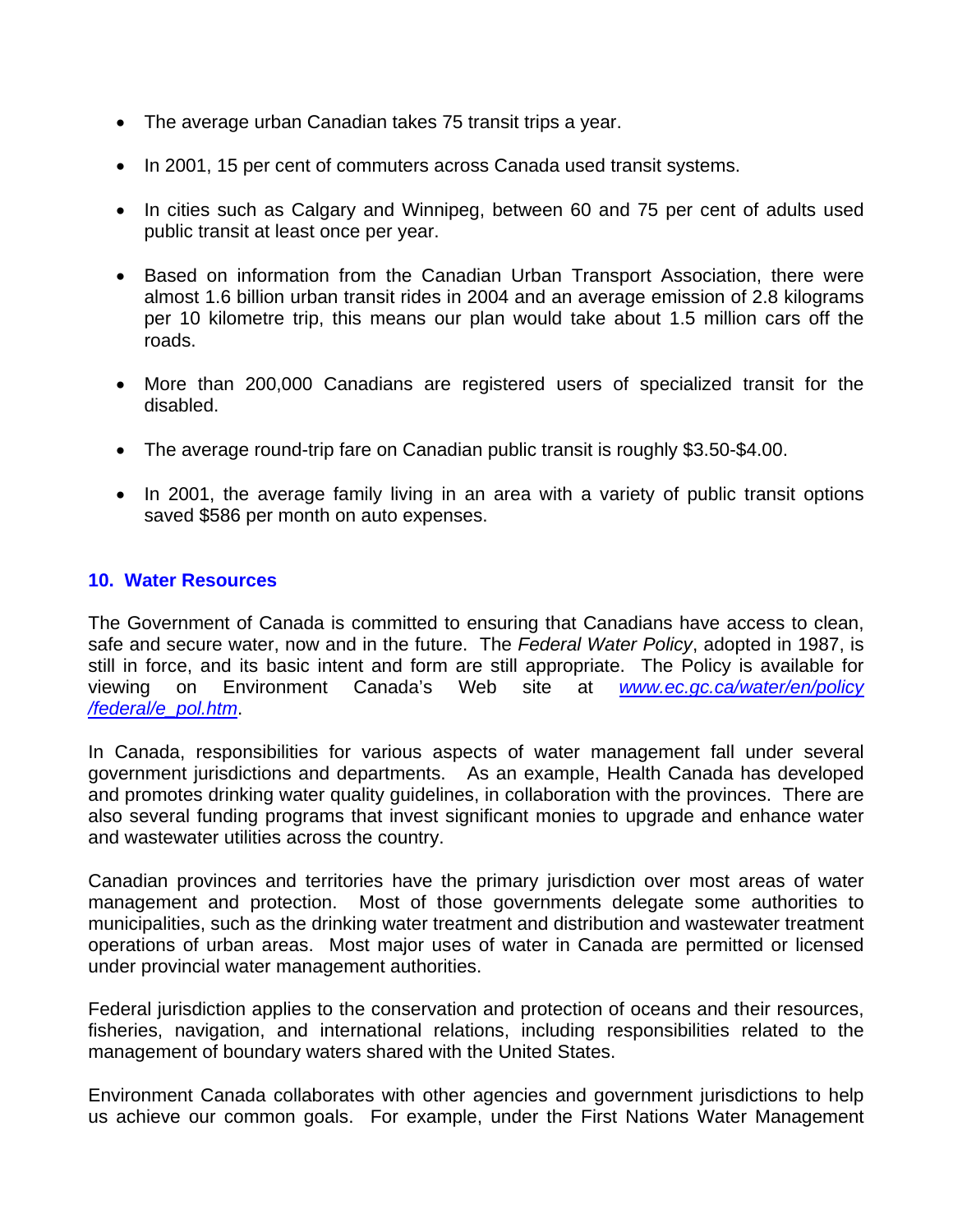- The average urban Canadian takes 75 transit trips a year.
- In 2001, 15 per cent of commuters across Canada used transit systems.
- In cities such as Calgary and Winnipeg, between 60 and 75 per cent of adults used public transit at least once per year.
- Based on information from the Canadian Urban Transport Association, there were almost 1.6 billion urban transit rides in 2004 and an average emission of 2.8 kilograms per 10 kilometre trip, this means our plan would take about 1.5 million cars off the roads.
- More than 200,000 Canadians are registered users of specialized transit for the disabled.
- The average round-trip fare on Canadian public transit is roughly \$3.50-\$4.00.
- In 2001, the average family living in an area with a variety of public transit options saved \$586 per month on auto expenses.

### **10. Water Resources**

The Government of Canada is committed to ensuring that Canadians have access to clean, safe and secure water, now and in the future. The *Federal Water Policy*, adopted in 1987, is still in force, and its basic intent and form are still appropriate. The Policy is available for viewing on Environment Canada's Web site at *www.ec.gc.ca/water/en/policy /federal/e\_pol.htm*.

In Canada, responsibilities for various aspects of water management fall under several government jurisdictions and departments. As an example, Health Canada has developed and promotes drinking water quality guidelines, in collaboration with the provinces. There are also several funding programs that invest significant monies to upgrade and enhance water and wastewater utilities across the country.

Canadian provinces and territories have the primary jurisdiction over most areas of water management and protection. Most of those governments delegate some authorities to municipalities, such as the drinking water treatment and distribution and wastewater treatment operations of urban areas. Most major uses of water in Canada are permitted or licensed under provincial water management authorities.

Federal jurisdiction applies to the conservation and protection of oceans and their resources, fisheries, navigation, and international relations, including responsibilities related to the management of boundary waters shared with the United States.

Environment Canada collaborates with other agencies and government jurisdictions to help us achieve our common goals. For example, under the First Nations Water Management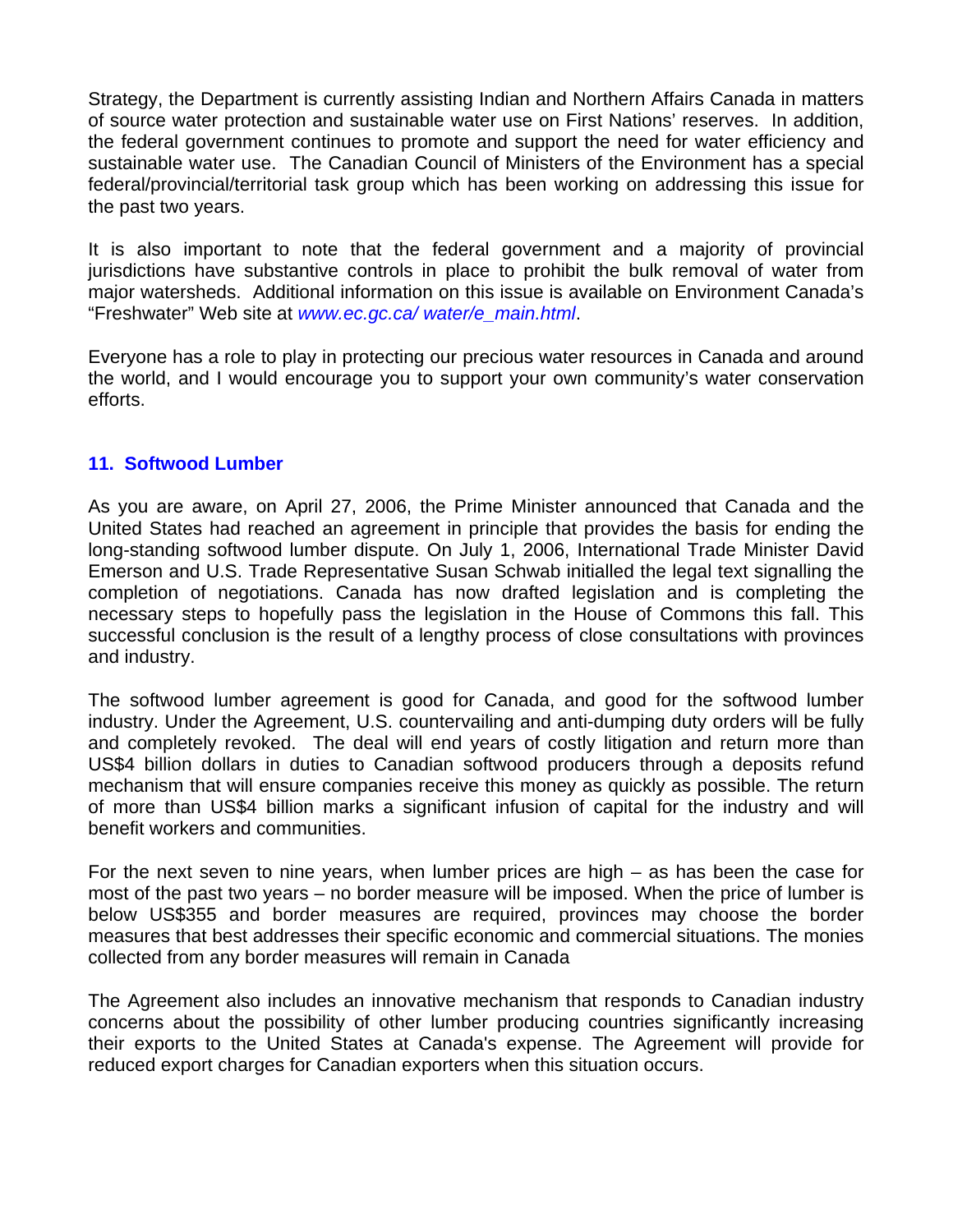Strategy, the Department is currently assisting Indian and Northern Affairs Canada in matters of source water protection and sustainable water use on First Nations' reserves. In addition, the federal government continues to promote and support the need for water efficiency and sustainable water use. The Canadian Council of Ministers of the Environment has a special federal/provincial/territorial task group which has been working on addressing this issue for the past two years.

It is also important to note that the federal government and a majority of provincial jurisdictions have substantive controls in place to prohibit the bulk removal of water from major watersheds. Additional information on this issue is available on Environment Canada's "Freshwater" Web site at *www.ec.gc.ca/ water/e\_main.html*.

Everyone has a role to play in protecting our precious water resources in Canada and around the world, and I would encourage you to support your own community's water conservation efforts.

### **11. Softwood Lumber**

As you are aware, on April 27, 2006, the Prime Minister announced that Canada and the United States had reached an agreement in principle that provides the basis for ending the long-standing softwood lumber dispute. On July 1, 2006, International Trade Minister David Emerson and U.S. Trade Representative Susan Schwab initialled the legal text signalling the completion of negotiations. Canada has now drafted legislation and is completing the necessary steps to hopefully pass the legislation in the House of Commons this fall. This successful conclusion is the result of a lengthy process of close consultations with provinces and industry.

The softwood lumber agreement is good for Canada, and good for the softwood lumber industry. Under the Agreement, U.S. countervailing and anti-dumping duty orders will be fully and completely revoked. The deal will end years of costly litigation and return more than US\$4 billion dollars in duties to Canadian softwood producers through a deposits refund mechanism that will ensure companies receive this money as quickly as possible. The return of more than US\$4 billion marks a significant infusion of capital for the industry and will benefit workers and communities.

For the next seven to nine years, when lumber prices are high – as has been the case for most of the past two years – no border measure will be imposed. When the price of lumber is below US\$355 and border measures are required, provinces may choose the border measures that best addresses their specific economic and commercial situations. The monies collected from any border measures will remain in Canada

The Agreement also includes an innovative mechanism that responds to Canadian industry concerns about the possibility of other lumber producing countries significantly increasing their exports to the United States at Canada's expense. The Agreement will provide for reduced export charges for Canadian exporters when this situation occurs.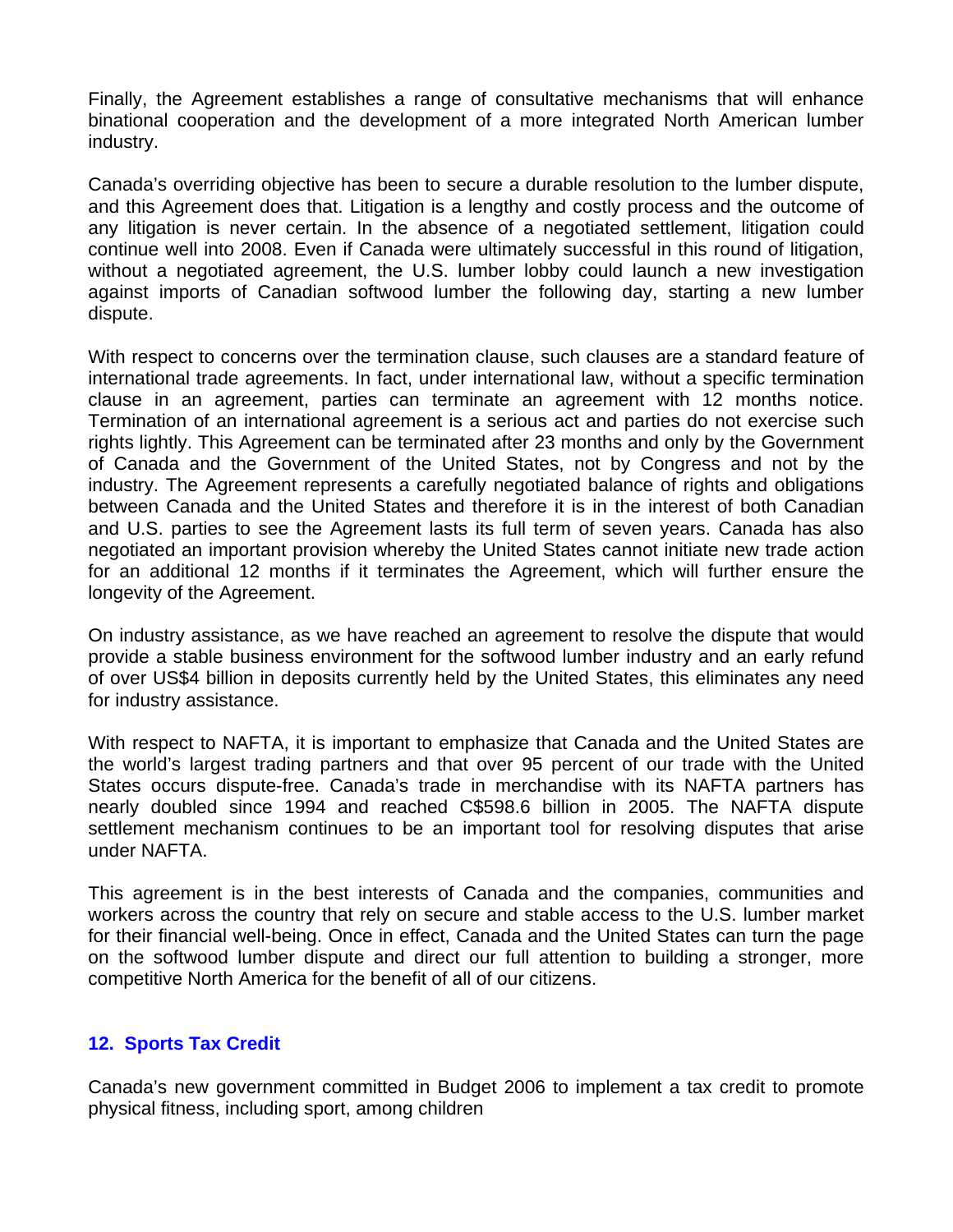Finally, the Agreement establishes a range of consultative mechanisms that will enhance binational cooperation and the development of a more integrated North American lumber industry.

Canada's overriding objective has been to secure a durable resolution to the lumber dispute, and this Agreement does that. Litigation is a lengthy and costly process and the outcome of any litigation is never certain. In the absence of a negotiated settlement, litigation could continue well into 2008. Even if Canada were ultimately successful in this round of litigation, without a negotiated agreement, the U.S. lumber lobby could launch a new investigation against imports of Canadian softwood lumber the following day, starting a new lumber dispute.

With respect to concerns over the termination clause, such clauses are a standard feature of international trade agreements. In fact, under international law, without a specific termination clause in an agreement, parties can terminate an agreement with 12 months notice. Termination of an international agreement is a serious act and parties do not exercise such rights lightly. This Agreement can be terminated after 23 months and only by the Government of Canada and the Government of the United States, not by Congress and not by the industry. The Agreement represents a carefully negotiated balance of rights and obligations between Canada and the United States and therefore it is in the interest of both Canadian and U.S. parties to see the Agreement lasts its full term of seven years. Canada has also negotiated an important provision whereby the United States cannot initiate new trade action for an additional 12 months if it terminates the Agreement, which will further ensure the longevity of the Agreement.

On industry assistance, as we have reached an agreement to resolve the dispute that would provide a stable business environment for the softwood lumber industry and an early refund of over US\$4 billion in deposits currently held by the United States, this eliminates any need for industry assistance.

With respect to NAFTA, it is important to emphasize that Canada and the United States are the world's largest trading partners and that over 95 percent of our trade with the United States occurs dispute-free. Canada's trade in merchandise with its NAFTA partners has nearly doubled since 1994 and reached C\$598.6 billion in 2005. The NAFTA dispute settlement mechanism continues to be an important tool for resolving disputes that arise under NAFTA.

This agreement is in the best interests of Canada and the companies, communities and workers across the country that rely on secure and stable access to the U.S. lumber market for their financial well-being. Once in effect, Canada and the United States can turn the page on the softwood lumber dispute and direct our full attention to building a stronger, more competitive North America for the benefit of all of our citizens.

### **12. Sports Tax Credit**

Canada's new government committed in Budget 2006 to implement a tax credit to promote physical fitness, including sport, among children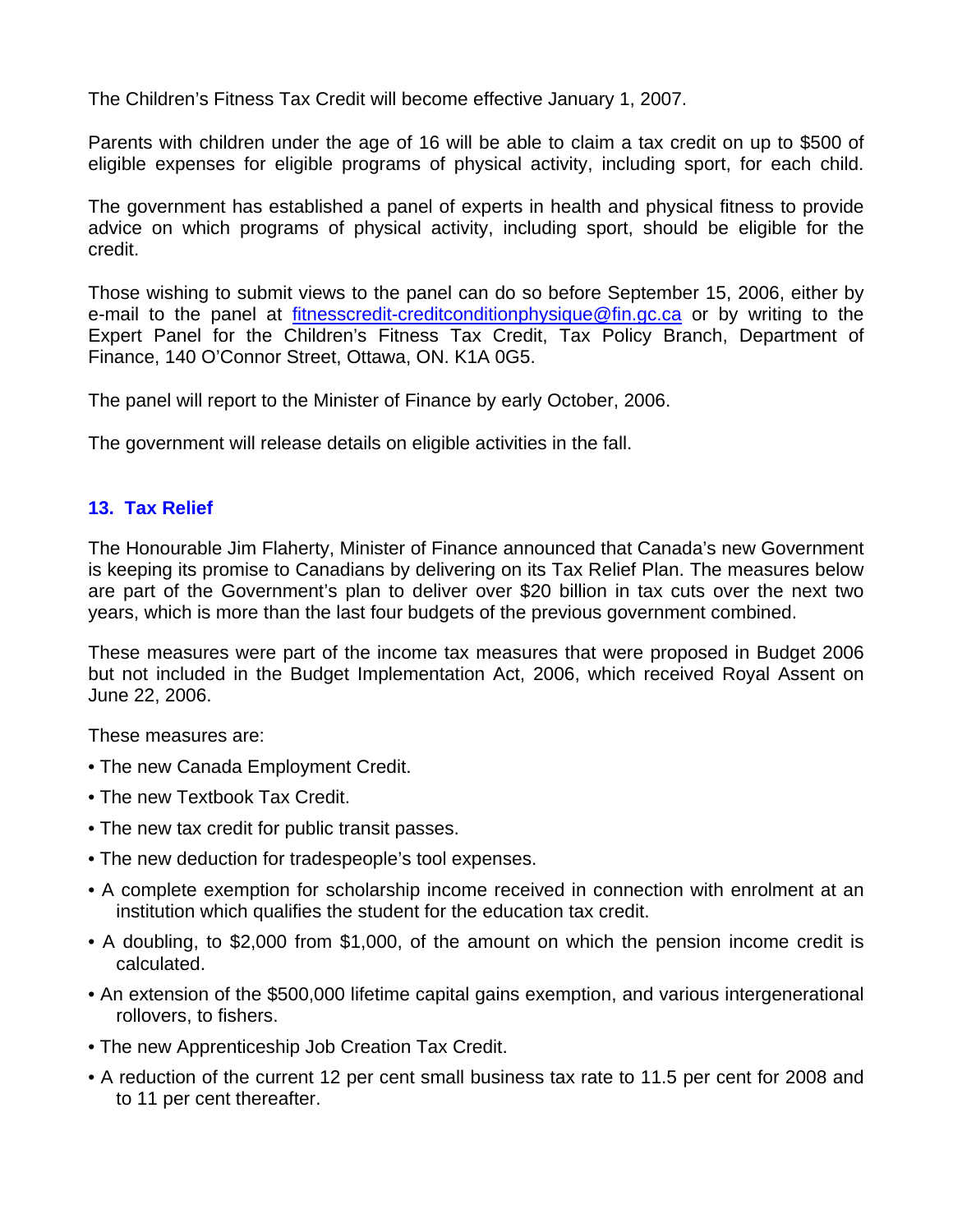The Children's Fitness Tax Credit will become effective January 1, 2007.

Parents with children under the age of 16 will be able to claim a tax credit on up to \$500 of eligible expenses for eligible programs of physical activity, including sport, for each child.

The government has established a panel of experts in health and physical fitness to provide advice on which programs of physical activity, including sport, should be eligible for the credit.

Those wishing to submit views to the panel can do so before September 15, 2006, either by e-mail to the panel at fitnesscredit-creditconditionphysique@fin.gc.ca or by writing to the Expert Panel for the Children's Fitness Tax Credit, Tax Policy Branch, Department of Finance, 140 O'Connor Street, Ottawa, ON. K1A 0G5.

The panel will report to the Minister of Finance by early October, 2006.

The government will release details on eligible activities in the fall.

### **13. Tax Relief**

The Honourable Jim Flaherty, Minister of Finance announced that Canada's new Government is keeping its promise to Canadians by delivering on its Tax Relief Plan. The measures below are part of the Government's plan to deliver over \$20 billion in tax cuts over the next two years, which is more than the last four budgets of the previous government combined.

These measures were part of the income tax measures that were proposed in Budget 2006 but not included in the Budget Implementation Act, 2006, which received Royal Assent on June 22, 2006.

These measures are:

- The new Canada Employment Credit.
- The new Textbook Tax Credit.
- The new tax credit for public transit passes.
- The new deduction for tradespeople's tool expenses.
- A complete exemption for scholarship income received in connection with enrolment at an institution which qualifies the student for the education tax credit.
- A doubling, to \$2,000 from \$1,000, of the amount on which the pension income credit is calculated.
- An extension of the \$500,000 lifetime capital gains exemption, and various intergenerational rollovers, to fishers.
- The new Apprenticeship Job Creation Tax Credit.
- A reduction of the current 12 per cent small business tax rate to 11.5 per cent for 2008 and to 11 per cent thereafter.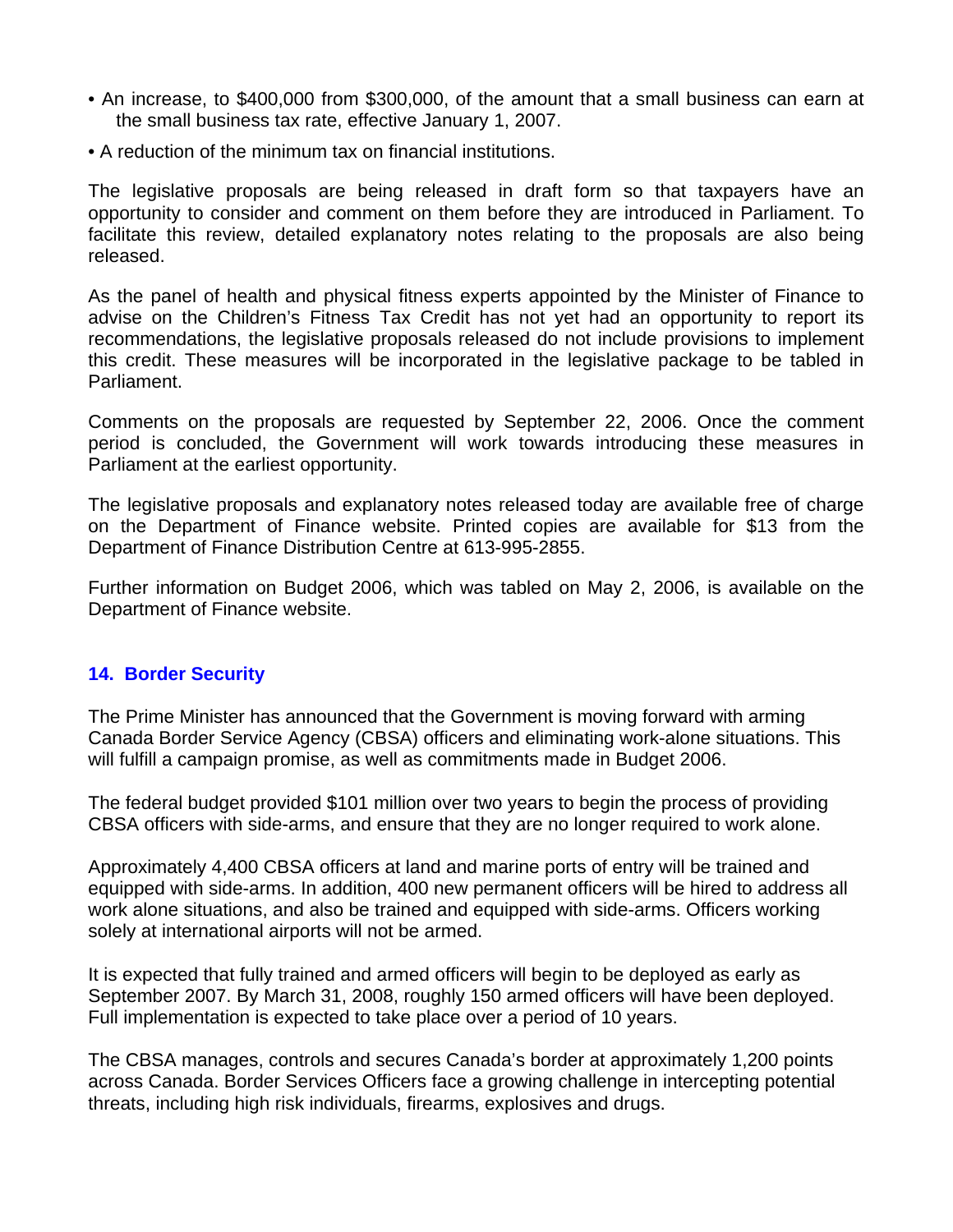- An increase, to \$400,000 from \$300,000, of the amount that a small business can earn at the small business tax rate, effective January 1, 2007.
- A reduction of the minimum tax on financial institutions.

The legislative proposals are being released in draft form so that taxpayers have an opportunity to consider and comment on them before they are introduced in Parliament. To facilitate this review, detailed explanatory notes relating to the proposals are also being released.

As the panel of health and physical fitness experts appointed by the Minister of Finance to advise on the Children's Fitness Tax Credit has not yet had an opportunity to report its recommendations, the legislative proposals released do not include provisions to implement this credit. These measures will be incorporated in the legislative package to be tabled in Parliament.

Comments on the proposals are requested by September 22, 2006. Once the comment period is concluded, the Government will work towards introducing these measures in Parliament at the earliest opportunity.

The legislative proposals and explanatory notes released today are available free of charge on the Department of Finance website. Printed copies are available for \$13 from the Department of Finance Distribution Centre at 613-995-2855.

Further information on Budget 2006, which was tabled on May 2, 2006, is available on the Department of Finance website.

# **14. Border Security**

The Prime Minister has announced that the Government is moving forward with arming Canada Border Service Agency (CBSA) officers and eliminating work-alone situations. This will fulfill a campaign promise, as well as commitments made in Budget 2006.

The federal budget provided \$101 million over two years to begin the process of providing CBSA officers with side-arms, and ensure that they are no longer required to work alone.

Approximately 4,400 CBSA officers at land and marine ports of entry will be trained and equipped with side-arms. In addition, 400 new permanent officers will be hired to address all work alone situations, and also be trained and equipped with side-arms. Officers working solely at international airports will not be armed.

It is expected that fully trained and armed officers will begin to be deployed as early as September 2007. By March 31, 2008, roughly 150 armed officers will have been deployed. Full implementation is expected to take place over a period of 10 years.

The CBSA manages, controls and secures Canada's border at approximately 1,200 points across Canada. Border Services Officers face a growing challenge in intercepting potential threats, including high risk individuals, firearms, explosives and drugs.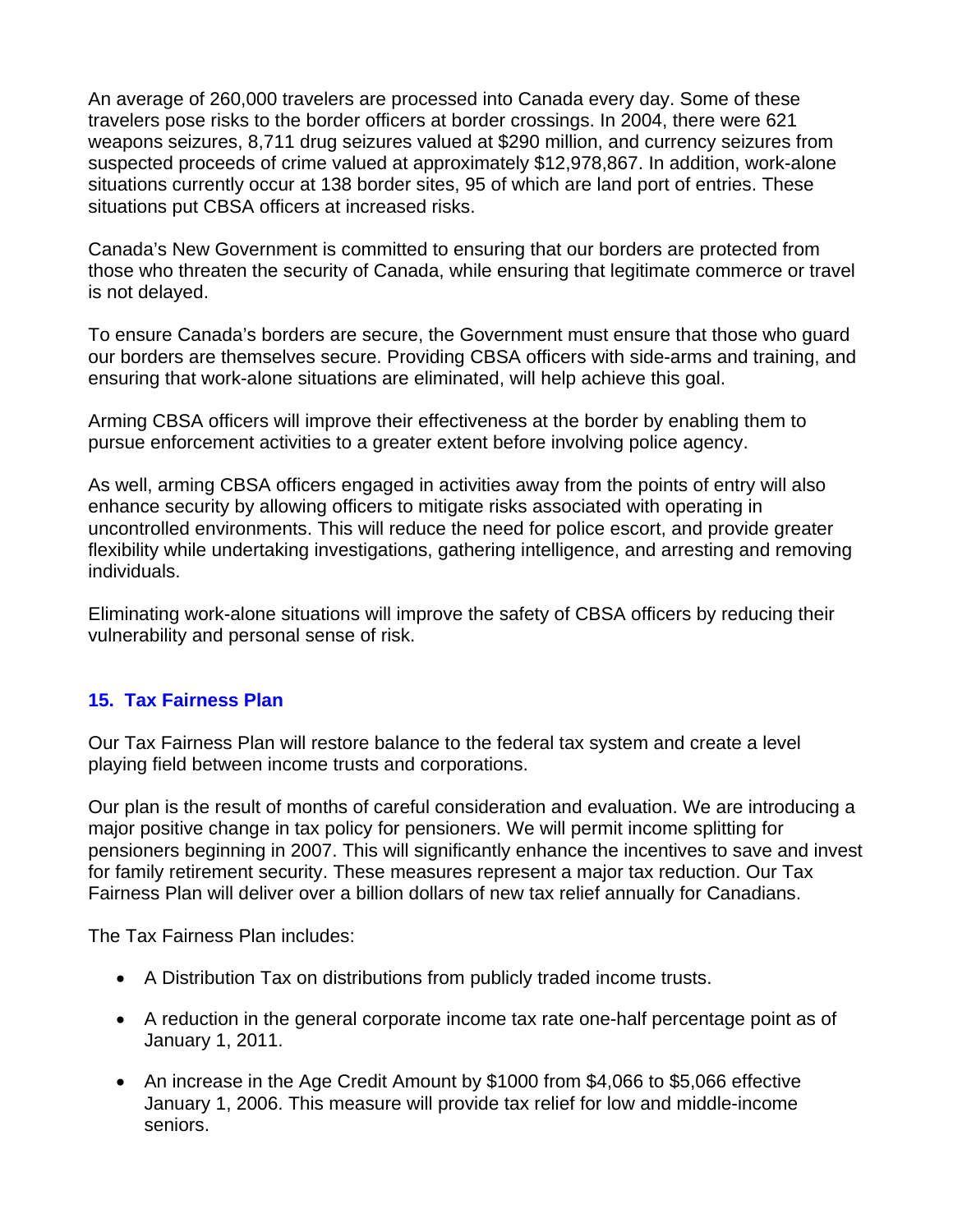An average of 260,000 travelers are processed into Canada every day. Some of these travelers pose risks to the border officers at border crossings. In 2004, there were 621 weapons seizures, 8,711 drug seizures valued at \$290 million, and currency seizures from suspected proceeds of crime valued at approximately \$12,978,867. In addition, work-alone situations currently occur at 138 border sites, 95 of which are land port of entries. These situations put CBSA officers at increased risks.

Canada's New Government is committed to ensuring that our borders are protected from those who threaten the security of Canada, while ensuring that legitimate commerce or travel is not delayed.

To ensure Canada's borders are secure, the Government must ensure that those who guard our borders are themselves secure. Providing CBSA officers with side-arms and training, and ensuring that work-alone situations are eliminated, will help achieve this goal.

Arming CBSA officers will improve their effectiveness at the border by enabling them to pursue enforcement activities to a greater extent before involving police agency.

As well, arming CBSA officers engaged in activities away from the points of entry will also enhance security by allowing officers to mitigate risks associated with operating in uncontrolled environments. This will reduce the need for police escort, and provide greater flexibility while undertaking investigations, gathering intelligence, and arresting and removing individuals.

Eliminating work-alone situations will improve the safety of CBSA officers by reducing their vulnerability and personal sense of risk.

# **15. Tax Fairness Plan**

Our Tax Fairness Plan will restore balance to the federal tax system and create a level playing field between income trusts and corporations.

Our plan is the result of months of careful consideration and evaluation. We are introducing a major positive change in tax policy for pensioners. We will permit income splitting for pensioners beginning in 2007. This will significantly enhance the incentives to save and invest for family retirement security. These measures represent a major tax reduction. Our Tax Fairness Plan will deliver over a billion dollars of new tax relief annually for Canadians.

The Tax Fairness Plan includes:

- A Distribution Tax on distributions from publicly traded income trusts.
- A reduction in the general corporate income tax rate one-half percentage point as of January 1, 2011.
- An increase in the Age Credit Amount by \$1000 from \$4,066 to \$5,066 effective January 1, 2006. This measure will provide tax relief for low and middle-income seniors.